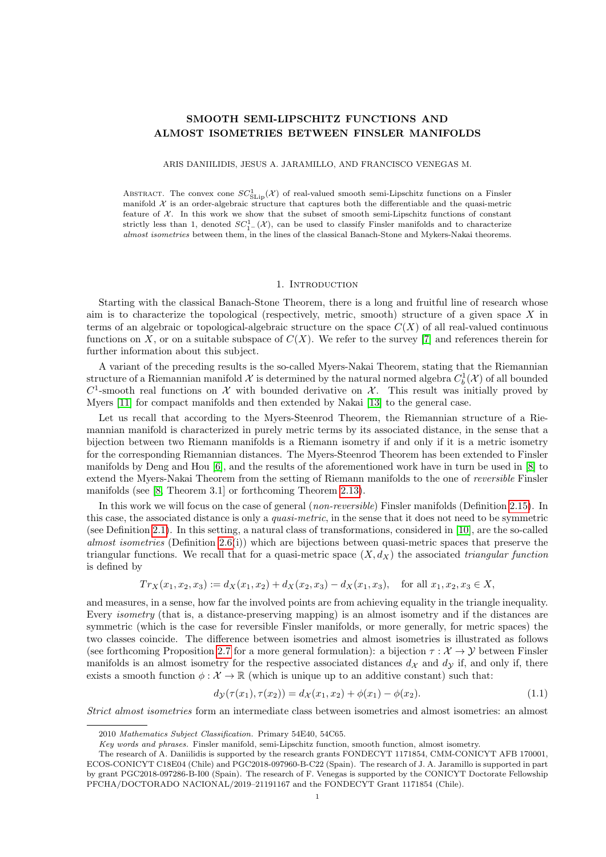# SMOOTH SEMI-LIPSCHITZ FUNCTIONS AND ALMOST ISOMETRIES BETWEEN FINSLER MANIFOLDS

ARIS DANIILIDIS, JESUS A. JARAMILLO, AND FRANCISCO VENEGAS M.

ABSTRACT. The convex cone  $SC^1_{SLip}(\mathcal{X})$  of real-valued smooth semi-Lipschitz functions on a Finsler manifold  $X$  is an order-algebraic structure that captures both the differentiable and the quasi-metric feature of  $X$ . In this work we show that the subset of smooth semi-Lipschitz functions of constant strictly less than 1, denoted  $SC_1^1$ - $(\mathcal{X})$ , can be used to classify Finsler manifolds and to characterize almost isometries between them, in the lines of the classical Banach-Stone and Mykers-Nakai theorems.

#### 1. INTRODUCTION

Starting with the classical Banach-Stone Theorem, there is a long and fruitful line of research whose aim is to characterize the topological (respectively, metric, smooth) structure of a given space  $X$  in terms of an algebraic or topological-algebraic structure on the space  $C(X)$  of all real-valued continuous functions on X, or on a suitable subspace of  $C(X)$ . We refer to the survey [\[7\]](#page-15-0) and references therein for further information about this subject.

A variant of the preceding results is the so-called Myers-Nakai Theorem, stating that the Riemannian structure of a Riemannian manifold  $\mathcal X$  is determined by the natural normed algebra  $C_b^1(\mathcal X)$  of all bounded  $C^1$ -smooth real functions on X with bounded derivative on X. This result was initially proved by Myers [\[11\]](#page-16-0) for compact manifolds and then extended by Nakai [\[13\]](#page-16-1) to the general case.

Let us recall that according to the Myers-Steenrod Theorem, the Riemannian structure of a Riemannian manifold is characterized in purely metric terms by its associated distance, in the sense that a bijection between two Riemann manifolds is a Riemann isometry if and only if it is a metric isometry for the corresponding Riemannian distances. The Myers-Steenrod Theorem has been extended to Finsler manifolds by Deng and Hou [\[6\]](#page-15-1), and the results of the aforementioned work have in turn be used in [\[8\]](#page-16-2) to extend the Myers-Nakai Theorem from the setting of Riemann manifolds to the one of *reversible* Finsler manifolds (see [\[8,](#page-16-2) Theorem 3.1] or forthcoming Theorem [2.13\)](#page-4-0).

In this work we will focus on the case of general (*non-reversible*) Finsler manifolds (Definition [2.15\)](#page-5-0). In this case, the associated distance is only a *quasi-metric*, in the sense that it does not need to be symmetric (see Definition [2.1\)](#page-1-0). In this setting, a natural class of transformations, considered in [\[10\]](#page-16-3), are the so-called almost isometries (Definition [2.6\(](#page-2-0)i)) which are bijections between quasi-metric spaces that preserve the triangular functions. We recall that for a quasi-metric space  $(X, d_X)$  the associated triangular function is defined by

$$
Tr_X(x_1, x_2, x_3) := d_X(x_1, x_2) + d_X(x_2, x_3) - d_X(x_1, x_3), \text{ for all } x_1, x_2, x_3 \in X,
$$

and measures, in a sense, how far the involved points are from achieving equality in the triangle inequality. Every *isometry* (that is, a distance-preserving mapping) is an almost isometry and if the distances are symmetric (which is the case for reversible Finsler manifolds, or more generally, for metric spaces) the two classes coincide. The difference between isometries and almost isometries is illustrated as follows (see forthcoming Proposition [2.7](#page-2-1) for a more general formulation): a bijection  $\tau : \mathcal{X} \to \mathcal{Y}$  between Finsler manifolds is an almost isometry for the respective associated distances  $d<sub>X</sub>$  and  $d<sub>Y</sub>$  if, and only if, there exists a smooth function  $\phi : \mathcal{X} \to \mathbb{R}$  (which is unique up to an additive constant) such that:

<span id="page-0-0"></span>
$$
d_{\mathcal{Y}}(\tau(x_1), \tau(x_2)) = d_{\mathcal{X}}(x_1, x_2) + \phi(x_1) - \phi(x_2). \tag{1.1}
$$

Strict almost isometries form an intermediate class between isometries and almost isometries: an almost

<sup>2010</sup> Mathematics Subject Classification. Primary 54E40, 54C65.

Key words and phrases. Finsler manifold, semi-Lipschitz function, smooth function, almost isometry.

The research of A. Daniilidis is supported by the research grants FONDECYT 1171854, CMM-CONICYT AFB 170001, ECOS-CONICYT C18E04 (Chile) and PGC2018-097960-B-C22 (Spain). The research of J. A. Jaramillo is supported in part by grant PGC2018-097286-B-I00 (Spain). The research of F. Venegas is supported by the CONICYT Doctorate Fellowship PFCHA/DOCTORADO NACIONAL/2019–21191167 and the FONDECYT Grant 1171854 (Chile).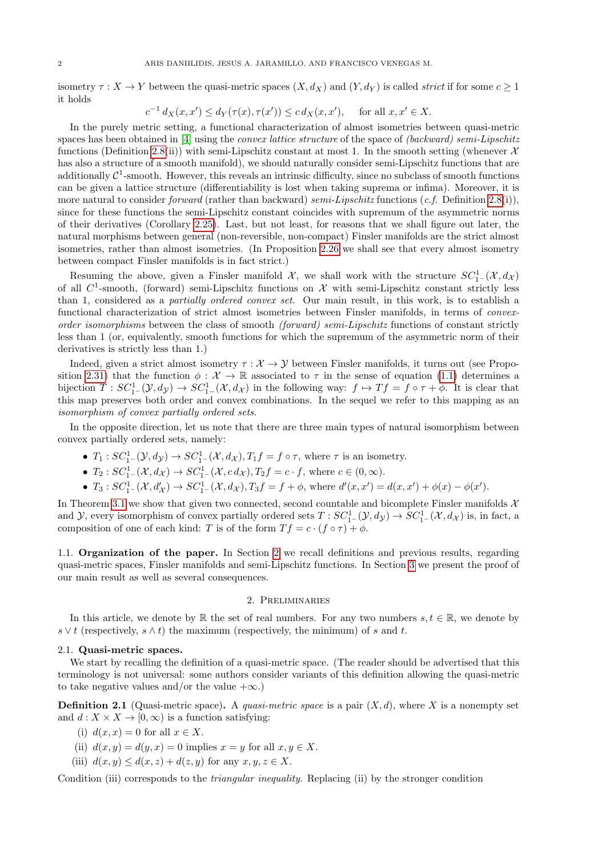isometry  $\tau : X \to Y$  between the quasi-metric spaces  $(X, d_X)$  and  $(Y, d_Y)$  is called *strict* if for some  $c \ge 1$ it holds

$$
c^{-1} d_X(x, x') \le d_Y(\tau(x), \tau(x')) \le c d_X(x, x'), \quad \text{ for all } x, x' \in X.
$$

In the purely metric setting, a functional characterization of almost isometries between quasi-metric spaces has been obtained in [\[4\]](#page-15-2) using the *convex lattice structure* of the space of *(backward) semi-Lipschitz* functions (Definition [2.8\(](#page-2-2)ii)) with semi-Lipschitz constant at most 1. In the smooth setting (whenever  $\mathcal{X}$ has also a structure of a smooth manifold), we should naturally consider semi-Lipschitz functions that are additionally  $C^1$ -smooth. However, this reveals an intrinsic difficulty, since no subclass of smooth functions can be given a lattice structure (differentiability is lost when taking suprema or infima). Moreover, it is more natural to consider forward (rather than backward) semi-Lipschitz functions  $(c.f.$  Definition [2.8\(](#page-2-2)i)), since for these functions the semi-Lipschitz constant coincides with supremum of the asymmetric norms of their derivatives (Corollary [2.25\)](#page-6-0). Last, but not least, for reasons that we shall figure out later, the natural morphisms between general (non-reversible, non-compact) Finsler manifolds are the strict almost isometries, rather than almost isometries. (In Proposition [2.26](#page-7-0) we shall see that every almost isometry between compact Finsler manifolds is in fact strict.)

Resuming the above, given a Finsler manifold  $\mathcal{X}$ , we shall work with the structure  $SC_1^1$ - $(\mathcal{X}, d_{\mathcal{X}})$ of all  $C^1$ -smooth, (forward) semi-Lipschitz functions on  $\mathcal X$  with semi-Lipschitz constant strictly less than 1, considered as a partially ordered convex set. Our main result, in this work, is to establish a functional characterization of strict almost isometries between Finsler manifolds, in terms of convexorder isomorphisms between the class of smooth (forward) semi-Lipschitz functions of constant strictly less than 1 (or, equivalently, smooth functions for which the supremum of the asymmetric norm of their derivatives is strictly less than 1.)

Indeed, given a strict almost isometry  $\tau : \mathcal{X} \to \mathcal{Y}$  between Finsler manifolds, it turns out (see Propo-sition [2.31\)](#page-8-0) that the function  $\phi : \mathcal{X} \to \mathbb{R}$  associated to  $\tau$  in the sense of equation [\(1.1\)](#page-0-0) determines a bijection  $T: SC^1_{1-}(\mathcal{Y}, d_{\mathcal{Y}}) \to SC^1_{1-}(\mathcal{X}, d_{\mathcal{X}})$  in the following way:  $f \mapsto Tf = f \circ \tau + \phi$ . It is clear that this map preserves both order and convex combinations. In the sequel we refer to this mapping as an isomorphism of convex partially ordered sets.

In the opposite direction, let us note that there are three main types of natural isomorphism between convex partially ordered sets, namely:

- $T_1: SC_{1^-}^1(\mathcal{Y}, d_{\mathcal{Y}}) \to SC_{1^-}^1(\mathcal{X}, d_{\mathcal{X}}), T_1f = f \circ \tau$ , where  $\tau$  is an isometry.
- $T_2$ :  $SC_{1-}^1(\mathcal{X}, d_{\mathcal{X}})$   $\to$   $SC_{1-}^1(\mathcal{X}, c \, d_{\mathcal{X}})$ ,  $T_2f = c \cdot f$ , where  $c \in (0, \infty)$ .
- $T_3: SC^1_{1^-}(\mathcal{X}, d'_{\mathcal{X}}) \to SC^1_{1^-}(\mathcal{X}, d_{\mathcal{X}}), T_3f = f + \phi$ , where  $d'(x, x') = d(x, x') + \phi(x) \phi(x')$ .

In Theorem [3.1](#page-8-1) we show that given two connected, second countable and bicomplete Finsler manifolds  $\mathcal{X}$ and Y, every isomorphism of convex partially ordered sets  $T:SC^1_{1-}(\mathcal{Y}, d_{\mathcal{Y}}) \to SC^1_{1-}(\mathcal{X}, d_{\mathcal{X}})$  is, in fact, a composition of one of each kind: T is of the form  $Tf = c \cdot (f \circ \tau) + \phi$ .

1.1. Organization of the paper. In Section [2](#page-1-1) we recall definitions and previous results, regarding quasi-metric spaces, Finsler manifolds and semi-Lipschitz functions. In Section [3](#page-8-2) we present the proof of our main result as well as several consequences.

### 2. Preliminaries

<span id="page-1-1"></span>In this article, we denote by R the set of real numbers. For any two numbers  $s, t \in \mathbb{R}$ , we denote by  $s \vee t$  (respectively,  $s \wedge t$ ) the maximum (respectively, the minimum) of s and t.

### 2.1. Quasi-metric spaces.

We start by recalling the definition of a quasi-metric space. (The reader should be advertised that this terminology is not universal: some authors consider variants of this definition allowing the quasi-metric to take negative values and/or the value  $+\infty$ .)

<span id="page-1-0"></span>**Definition 2.1** (Quasi-metric space). A quasi-metric space is a pair  $(X, d)$ , where X is a nonempty set and  $d: X \times X \to [0, \infty)$  is a function satisfying:

- (i)  $d(x, x) = 0$  for all  $x \in X$ .
- (ii)  $d(x, y) = d(y, x) = 0$  implies  $x = y$  for all  $x, y \in X$ .
- (iii)  $d(x, y) \leq d(x, z) + d(z, y)$  for any  $x, y, z \in X$ .

Condition (iii) corresponds to the triangular inequality. Replacing (ii) by the stronger condition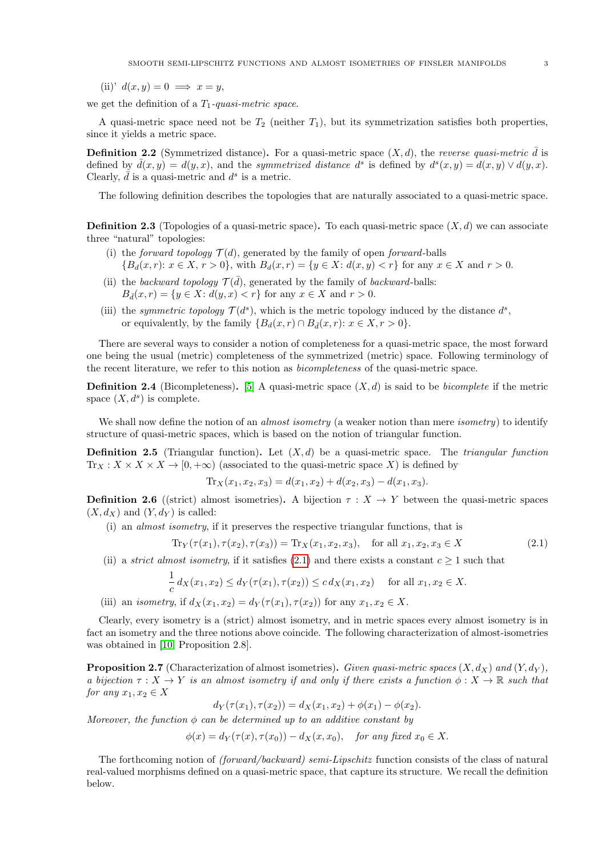(ii)'  $d(x, y) = 0 \implies x = y$ ,

we get the definition of a  $T_1$ -quasi-metric space.

A quasi-metric space need not be  $T_2$  (neither  $T_1$ ), but its symmetrization satisfies both properties, since it yields a metric space.

<span id="page-2-5"></span>**Definition 2.2** (Symmetrized distance). For a quasi-metric space  $(X, d)$ , the reverse quasi-metric  $\bar{d}$  is defined by  $\bar{d}(x,y) = d(y,x)$ , and the symmetrized distance  $d^{s}$  is defined by  $d^{s}(x,y) = d(x,y) \vee d(y,x)$ . Clearly,  $\overline{d}$  is a quasi-metric and  $d^s$  is a metric.

The following definition describes the topologies that are naturally associated to a quasi-metric space.

<span id="page-2-4"></span>**Definition 2.3** (Topologies of a quasi-metric space). To each quasi-metric space  $(X, d)$  we can associate three "natural" topologies:

- (i) the forward topology  $\mathcal{T}(d)$ , generated by the family of open forward-balls  ${B_d(x,r): x \in X, r > 0}$ , with  $B_d(x,r) = {y \in X: d(x,y) < r}$  for any  $x \in X$  and  $r > 0$ .
- (ii) the backward topology  $\mathcal{T}(\bar{d})$ , generated by the family of backward-balls:  $B_{\bar{d}}(x,r) = \{y \in X: d(y,x) < r\}$  for any  $x \in X$  and  $r > 0$ .
- (iii) the symmetric topology  $\mathcal{T}(d^s)$ , which is the metric topology induced by the distance  $d^s$ , or equivalently, by the family  $\{B_d(x,r) \cap B_{\bar{d}}(x,r): x \in X, r > 0\}.$

There are several ways to consider a notion of completeness for a quasi-metric space, the most forward one being the usual (metric) completeness of the symmetrized (metric) space. Following terminology of the recent literature, we refer to this notion as bicompleteness of the quasi-metric space.

**Definition 2.4** (Bicompleteness). [\[5\]](#page-15-3) A quasi-metric space  $(X, d)$  is said to be *bicomplete* if the metric space  $(X, d^s)$  is complete.

We shall now define the notion of an *almost isometry* (a weaker notion than mere *isometry*) to identify structure of quasi-metric spaces, which is based on the notion of triangular function.

**Definition 2.5** (Triangular function). Let  $(X, d)$  be a quasi-metric space. The *triangular function*  $\text{Tr}_X : X \times X \times X \to [0, +\infty)$  (associated to the quasi-metric space X) is defined by

$$
\text{Tr}_X(x_1, x_2, x_3) = d(x_1, x_2) + d(x_2, x_3) - d(x_1, x_3).
$$

<span id="page-2-0"></span>**Definition 2.6** ((strict) almost isometries). A bijection  $\tau : X \to Y$  between the quasi-metric spaces  $(X, d_X)$  and  $(Y, d_Y)$  is called:

(i) an almost isometry, if it preserves the respective triangular functions, that is

<span id="page-2-3"></span>
$$
\text{Tr}_Y(\tau(x_1), \tau(x_2), \tau(x_3)) = \text{Tr}_X(x_1, x_2, x_3), \quad \text{for all } x_1, x_2, x_3 \in X \tag{2.1}
$$

(ii) a *strict almost isometry*, if it satisfies [\(2.1\)](#page-2-3) and there exists a constant  $c > 1$  such that

$$
\frac{1}{c} d_X(x_1, x_2) \le d_Y(\tau(x_1), \tau(x_2)) \le c d_X(x_1, x_2) \quad \text{for all } x_1, x_2 \in X.
$$

(iii) an *isometry*, if  $d_X(x_1, x_2) = d_Y(\tau(x_1), \tau(x_2))$  for any  $x_1, x_2 \in X$ .

Clearly, every isometry is a (strict) almost isometry, and in metric spaces every almost isometry is in fact an isometry and the three notions above coincide. The following characterization of almost-isometries was obtained in [\[10,](#page-16-3) Proposition 2.8].

<span id="page-2-1"></span>**Proposition 2.7** (Characterization of almost isometries). Given quasi-metric spaces  $(X, d_X)$  and  $(Y, d_Y)$ , a bijection  $\tau : X \to Y$  is an almost isometry if and only if there exists a function  $\phi : X \to \mathbb{R}$  such that for any  $x_1, x_2 \in X$ 

$$
d_Y(\tau(x_1), \tau(x_2)) = d_X(x_1, x_2) + \phi(x_1) - \phi(x_2).
$$

Moreover, the function  $\phi$  can be determined up to an additive constant by

$$
\phi(x) = d_Y(\tau(x), \tau(x_0)) - d_X(x, x_0), \quad \text{for any fixed } x_0 \in X.
$$

<span id="page-2-2"></span>The forthcoming notion of (forward/backward) semi-Lipschitz function consists of the class of natural real-valued morphisms defined on a quasi-metric space, that capture its structure. We recall the definition below.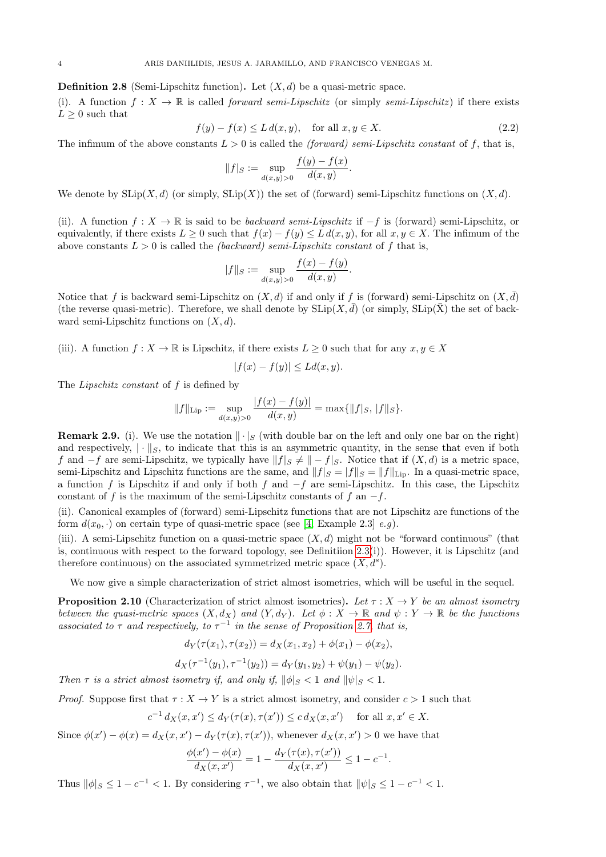**Definition 2.8** (Semi-Lipschitz function). Let  $(X, d)$  be a quasi-metric space.

(i). A function  $f: X \to \mathbb{R}$  is called *forward semi-Lipschitz* (or simply *semi-Lipschitz*) if there exists  $L \geq 0$  such that

$$
f(y) - f(x) \le L d(x, y), \quad \text{for all } x, y \in X. \tag{2.2}
$$

The infimum of the above constants  $L > 0$  is called the *(forward) semi-Lipschitz constant* of f, that is,

$$
||f||_{S} := \sup_{d(x,y)>0} \frac{f(y) - f(x)}{d(x,y)}.
$$

We denote by  $\text{SLip}(X, d)$  (or simply,  $\text{SLip}(X)$ ) the set of (forward) semi-Lipschitz functions on  $(X, d)$ .

(ii). A function  $f: X \to \mathbb{R}$  is said to be *backward semi-Lipschitz* if  $-f$  is (forward) semi-Lipschitz, or equivalently, if there exists  $L \geq 0$  such that  $f(x) - f(y) \leq L d(x, y)$ , for all  $x, y \in X$ . The infimum of the above constants  $L > 0$  is called the *(backward) semi-Lipschitz constant* of f that is,

$$
||f||_S := \sup_{d(x,y)>0} \frac{f(x) - f(y)}{d(x,y)}.
$$

Notice that f is backward semi-Lipschitz on  $(X, d)$  if and only if f is (forward) semi-Lipschitz on  $(X, d)$ (the reverse quasi-metric). Therefore, we shall denote by  $\text{SLip}(X, \bar{d})$  (or simply,  $\text{SLip}(\bar{X})$ ) the set of backward semi-Lipschitz functions on  $(X, d)$ .

(iii). A function  $f: X \to \mathbb{R}$  is Lipschitz, if there exists  $L \geq 0$  such that for any  $x, y \in X$ 

$$
|f(x) - f(y)| \le Ld(x, y).
$$

The Lipschitz constant of f is defined by

$$
||f||_{\text{Lip}} := \sup_{d(x,y)>0} \frac{|f(x)-f(y)|}{d(x,y)} = \max\{|f|_S, |f||_S\}.
$$

**Remark 2.9.** (i). We use the notation  $\|\cdot\|_S$  (with double bar on the left and only one bar on the right) and respectively,  $|\cdot|_{S}$ , to indicate that this is an asymmetric quantity, in the sense that even if both f and  $-f$  are semi-Lipschitz, we typically have  $||f||_S \neq ||-f||_S$ . Notice that if  $(X, d)$  is a metric space, semi-Lipschitz and Lipschitz functions are the same, and  $||f||_S = ||f||_{\text{Lip}}$ . In a quasi-metric space, a function f is Lipschitz if and only if both f and  $-f$  are semi-Lipschitz. In this case, the Lipschitz constant of f is the maximum of the semi-Lipschitz constants of f an  $-f$ .

(ii). Canonical examples of (forward) semi-Lipschitz functions that are not Lipschitz are functions of the form  $d(x_0, \cdot)$  on certain type of quasi-metric space (see [\[4,](#page-15-2) Example 2.3] e.g).

(iii). A semi-Lipschitz function on a quasi-metric space  $(X, d)$  might not be "forward continuous" (that is, continuous with respect to the forward topology, see Definitiion  $2.3(i)$ ). However, it is Lipschitz (and therefore continuous) on the associated symmetrized metric space  $(X, d<sup>s</sup>)$ .

We now give a simple characterization of strict almost isometries, which will be useful in the sequel.

<span id="page-3-0"></span>**Proposition 2.10** (Characterization of strict almost isometries). Let  $\tau : X \to Y$  be an almost isometry between the quasi-metric spaces  $(X, d_X)$  and  $(Y, d_Y)$ . Let  $\phi: X \to \mathbb{R}$  and  $\psi: Y \to \mathbb{R}$  be the functions associated to  $\tau$  and respectively, to  $\tau^{-1}$  in the sense of Proposition [2.7,](#page-2-1) that is,

$$
d_Y(\tau(x_1), \tau(x_2)) = d_X(x_1, x_2) + \phi(x_1) - \phi(x_2),
$$

$$
d_X(\tau^{-1}(y_1), \tau^{-1}(y_2)) = d_Y(y_1, y_2) + \psi(y_1) - \psi(y_2).
$$

Then  $\tau$  is a strict almost isometry if, and only if,  $\|\phi\|_{S} < 1$  and  $\|\psi\|_{S} < 1$ .

*Proof.* Suppose first that  $\tau : X \to Y$  is a strict almost isometry, and consider  $c > 1$  such that

$$
c^{-1} d_X(x, x') \le d_Y(\tau(x), \tau(x')) \le c d_X(x, x') \quad \text{ for all } x, x' \in X.
$$

Since  $\phi(x') - \phi(x) = d_X(x, x') - d_Y(\tau(x), \tau(x'))$ , whenever  $d_X(x, x') > 0$  we have that

$$
\frac{\phi(x') - \phi(x)}{d_X(x, x')} = 1 - \frac{d_Y(\tau(x), \tau(x'))}{d_X(x, x')} \le 1 - c^{-1}.
$$

Thus  $\|\phi|_S \leq 1 - c^{-1} < 1$ . By considering  $\tau^{-1}$ , we also obtain that  $\|\psi|_S \leq 1 - c^{-1} < 1$ .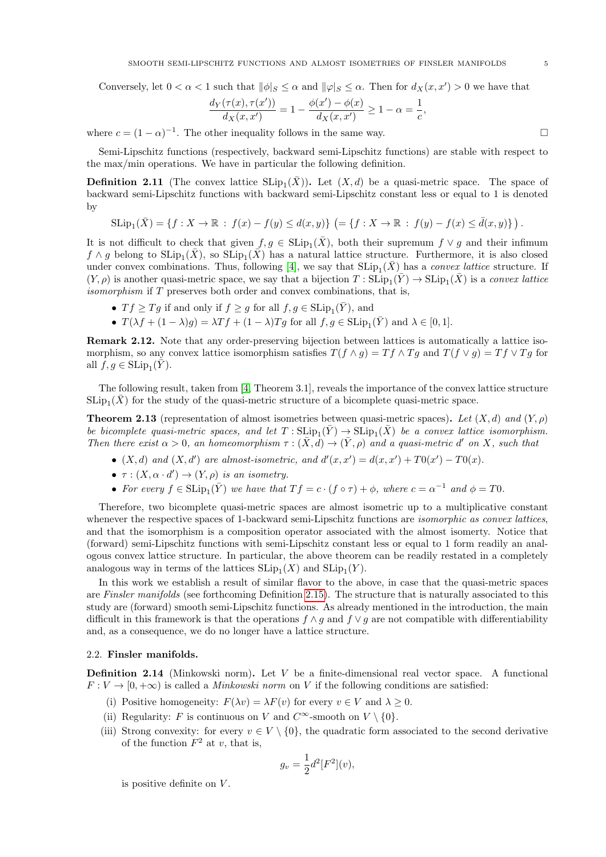Conversely, let  $0 < \alpha < 1$  such that  $\|\phi\|_{S} \leq \alpha$  and  $\|\varphi\|_{S} \leq \alpha$ . Then for  $d_X(x, x') > 0$  we have that

$$
\frac{d_Y(\tau(x), \tau(x'))}{d_X(x, x')} = 1 - \frac{\phi(x') - \phi(x)}{d_X(x, x')} \ge 1 - \alpha = \frac{1}{c},
$$

where  $c = (1 - \alpha)^{-1}$ . The other inequality follows in the same way.

Semi-Lipschitz functions (respectively, backward semi-Lipschitz functions) are stable with respect to the max/min operations. We have in particular the following definition.

**Definition 2.11** (The convex lattice  $SLip_1(\bar{X})$ ). Let  $(X, d)$  be a quasi-metric space. The space of backward semi-Lipschitz functions with backward semi-Lipschitz constant less or equal to 1 is denoted by

$$
\text{SLip}_1(\bar{X}) = \{ f : X \to \mathbb{R} \; : \; f(x) - f(y) \leq d(x, y) \} \; \left(= \{ f : X \to \mathbb{R} \; : \; f(y) - f(x) \leq \bar{d}(x, y) \} \right).
$$

It is not difficult to check that given  $f, g \in SLip_1(\bar{X})$ , both their supremum  $f \vee g$  and their infimum  $f \wedge g$  belong to  $\text{SLip}_1(\bar{X})$ , so  $\text{SLip}_1(\bar{X})$  has a natural lattice structure. Furthermore, it is also closed under convex combinations. Thus, following [\[4\]](#page-15-2), we say that  $SLip_1(\bar{X})$  has a *convex lattice* structure. If  $(Y, \rho)$  is another quasi-metric space, we say that a bijection  $T : \mathrm{SLip}_1(\bar{Y}) \to \mathrm{SLip}_1(\bar{X})$  is a convex lattice isomorphism if T preserves both order and convex combinations, that is,

- $Tf \geq Tg$  if and only if  $f \geq g$  for all  $f, g \in \text{SLip}_1(\overline{Y})$ , and
- $T(\lambda f + (1 \lambda)g) = \lambda Tf + (1 \lambda)Tg$  for all  $f, g \in \text{SLip}_1(\overline{Y})$  and  $\lambda \in [0, 1]$ .

Remark 2.12. Note that any order-preserving bijection between lattices is automatically a lattice isomorphism, so any convex lattice isomorphism satisfies  $T(f \wedge g) = Tf \wedge Tg$  and  $T(f \vee g) = Tf \vee Tg$  for all  $f, g \in \mathrm{SLip}_1(\tilde{Y})$ .

The following result, taken from [\[4,](#page-15-2) Theorem 3.1], reveals the importance of the convex lattice structure  $\text{SLip}_1(\bar{X})$  for the study of the quasi-metric structure of a bicomplete quasi-metric space.

<span id="page-4-0"></span>**Theorem 2.13** (representation of almost isometries between quasi-metric spaces). Let  $(X, d)$  and  $(Y, \rho)$ be bicomplete quasi-metric spaces, and let  $T: \text{SLip}_1(\bar{Y}) \to \text{SLip}_1(\bar{X})$  be a convex lattice isomorphism. Then there exist  $\alpha > 0$ , an homeomorphism  $\tau : (\bar{X}, d) \to (\bar{Y}, \rho)$  and a quasi-metric d' on X, such that

- $(X, d)$  and  $(X, d')$  are almost-isometric, and  $d'(x, x') = d(x, x') + T0(x') T0(x)$ .
- $\tau : (X, \alpha \cdot d') \to (Y, \rho)$  is an isometry.
- For every  $f \in \text{SLip}_1(\overline{Y})$  we have that  $Tf = c \cdot (f \circ \tau) + \phi$ , where  $c = \alpha^{-1}$  and  $\phi = T0$ .

Therefore, two bicomplete quasi-metric spaces are almost isometric up to a multiplicative constant whenever the respective spaces of 1-backward semi-Lipschitz functions are *isomorphic as convex lattices*, and that the isomorphism is a composition operator associated with the almost isomerty. Notice that (forward) semi-Lipschitz functions with semi-Lipschitz constant less or equal to 1 form readily an analogous convex lattice structure. In particular, the above theorem can be readily restated in a completely analogous way in terms of the lattices  $\text{SLip}_1(X)$  and  $\text{SLip}_1(Y)$ .

In this work we establish a result of similar flavor to the above, in case that the quasi-metric spaces are Finsler manifolds (see forthcoming Definition [2.15\)](#page-5-0). The structure that is naturally associated to this study are (forward) smooth semi-Lipschitz functions. As already mentioned in the introduction, the main difficult in this framework is that the operations  $f \wedge g$  and  $f \vee g$  are not compatible with differentiability and, as a consequence, we do no longer have a lattice structure.

## 2.2. Finsler manifolds.

**Definition 2.14** (Minkowski norm). Let  $V$  be a finite-dimensional real vector space. A functional  $F: V \to [0, +\infty)$  is called a *Minkowski norm* on V if the following conditions are satisfied:

- (i) Positive homogeneity:  $F(\lambda v) = \lambda F(v)$  for every  $v \in V$  and  $\lambda \geq 0$ .
- (ii) Regularity: F is continuous on V and  $C^{\infty}$ -smooth on  $V \setminus \{0\}$ .
- (iii) Strong convexity: for every  $v \in V \setminus \{0\}$ , the quadratic form associated to the second derivative of the function  $F^2$  at v, that is,

$$
g_v = \frac{1}{2}d^2[F^2](v),
$$

is positive definite on  $V$ .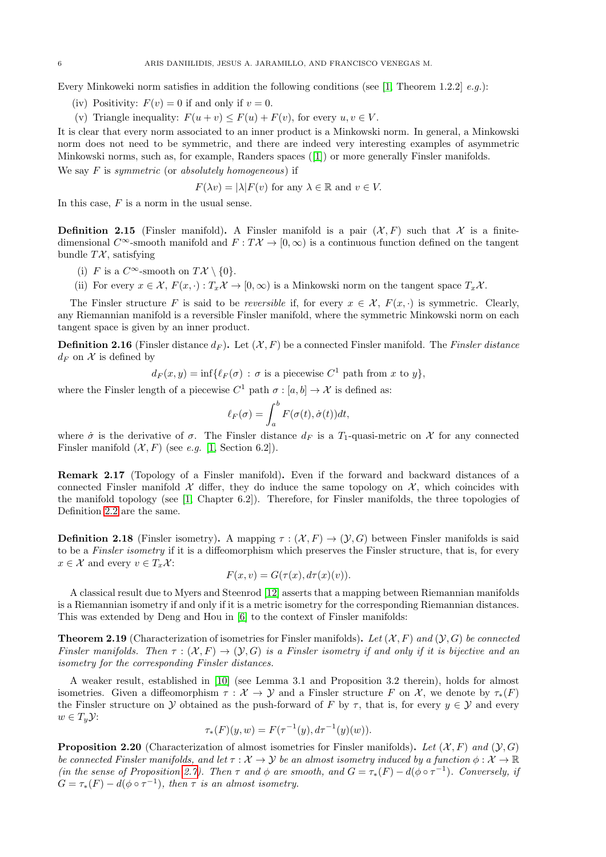Every Minkoweki norm satisfies in addition the following conditions (see [\[1,](#page-15-4) Theorem 1.2.2]  $e.g.$ ):

- (iv) Positivity:  $F(v) = 0$  if and only if  $v = 0$ .
- (v) Triangle inequality:  $F(u + v) \leq F(u) + F(v)$ , for every  $u, v \in V$ .

It is clear that every norm associated to an inner product is a Minkowski norm. In general, a Minkowski norm does not need to be symmetric, and there are indeed very interesting examples of asymmetric Minkowski norms, such as, for example, Randers spaces ([\[1\]](#page-15-4)) or more generally Finsler manifolds. We say  $F$  is symmetric (or absolutely homogeneous) if

$$
F(\lambda v) = |\lambda| F(v) \text{ for any } \lambda \in \mathbb{R} \text{ and } v \in V.
$$

In this case,  $F$  is a norm in the usual sense.

<span id="page-5-0"></span>**Definition 2.15** (Finsler manifold). A Finsler manifold is a pair  $(X, F)$  such that X is a finitedimensional C∞-smooth manifold and  $F: T\mathcal{X} \to [0,\infty)$  is a continuous function defined on the tangent bundle  $T\mathcal{X}$ , satisfying

- (i) F is a  $C^{\infty}$ -smooth on  $T\mathcal{X}\setminus\{0\}$ .
- (ii) For every  $x \in \mathcal{X}$ ,  $F(x, \cdot) : T_x\mathcal{X} \to [0, \infty)$  is a Minkowski norm on the tangent space  $T_x\mathcal{X}$ .

The Finsler structure F is said to be reversible if, for every  $x \in \mathcal{X}$ ,  $F(x, \cdot)$  is symmetric. Clearly, any Riemannian manifold is a reversible Finsler manifold, where the symmetric Minkowski norm on each tangent space is given by an inner product.

**Definition 2.16** (Finsler distance  $d_F$ ). Let  $(\mathcal{X}, F)$  be a connected Finsler manifold. The Finsler distance  $d_F$  on X is defined by

$$
d_F(x,y) = \inf \{ \ell_F(\sigma) : \sigma \text{ is a piecewise } C^1 \text{ path from } x \text{ to } y \},
$$

where the Finsler length of a piecewise  $C^1$  path  $\sigma : [a, b] \to \mathcal{X}$  is defined as:

$$
\ell_F(\sigma) = \int_a^b F(\sigma(t), \dot{\sigma}(t)) dt,
$$

where  $\dot{\sigma}$  is the derivative of  $\sigma$ . The Finsler distance  $d_F$  is a  $T_1$ -quasi-metric on X for any connected Finsler manifold  $(X, F)$  (see e.g. [\[1,](#page-15-4) Section 6.2]).

Remark 2.17 (Topology of a Finsler manifold). Even if the forward and backward distances of a connected Finsler manifold  $\mathcal X$  differ, they do induce the same topology on  $\mathcal X$ , which coincides with the manifold topology (see [\[1,](#page-15-4) Chapter 6.2]). Therefore, for Finsler manifolds, the three topologies of Definition [2.2](#page-2-5) are the same.

**Definition 2.18** (Finsler isometry). A mapping  $\tau : (\mathcal{X}, F) \to (\mathcal{Y}, G)$  between Finsler manifolds is said to be a Finsler isometry if it is a diffeomorphism which preserves the Finsler structure, that is, for every  $x \in \mathcal{X}$  and every  $v \in T_x \mathcal{X}$ :

$$
F(x, v) = G(\tau(x), d\tau(x)(v)).
$$

A classical result due to Myers and Steenrod [\[12\]](#page-16-4) asserts that a mapping between Riemannian manifolds is a Riemannian isometry if and only if it is a metric isometry for the corresponding Riemannian distances. This was extended by Deng and Hou in [\[6\]](#page-15-1) to the context of Finsler manifolds:

**Theorem 2.19** (Characterization of isometries for Finsler manifolds). Let  $(X, F)$  and  $(Y, G)$  be connected Finsler manifolds. Then  $\tau : (\mathcal{X}, F) \to (\mathcal{Y}, G)$  is a Finsler isometry if and only if it is bijective and an isometry for the corresponding Finsler distances.

A weaker result, established in [\[10\]](#page-16-3) (see Lemma 3.1 and Proposition 3.2 therein), holds for almost isometries. Given a diffeomorphism  $\tau : \mathcal{X} \to \mathcal{Y}$  and a Finsler structure F on X, we denote by  $\tau_*(F)$ the Finsler structure on Y obtained as the push-forward of F by  $\tau$ , that is, for every  $y \in Y$  and every  $w \in T_y \mathcal{Y}$ :

$$
\tau_*(F)(y, w) = F(\tau^{-1}(y), d\tau^{-1}(y)(w)).
$$

<span id="page-5-1"></span>**Proposition 2.20** (Characterization of almost isometries for Finsler manifolds). Let  $(\mathcal{X}, F)$  and  $(\mathcal{Y}, G)$ be connected Finsler manifolds, and let  $\tau : \mathcal{X} \to \mathcal{Y}$  be an almost isometry induced by a function  $\phi : \mathcal{X} \to \mathbb{R}$ (in the sense of Proposition [2.7\)](#page-2-1). Then  $\tau$  and  $\phi$  are smooth, and  $G = \tau_*(F) - d(\phi \circ \tau^{-1})$ . Conversely, if  $G = \tau_*(F) - d(\phi \circ \tau^{-1}), \text{ then } \tau \text{ is an almost isometry.}$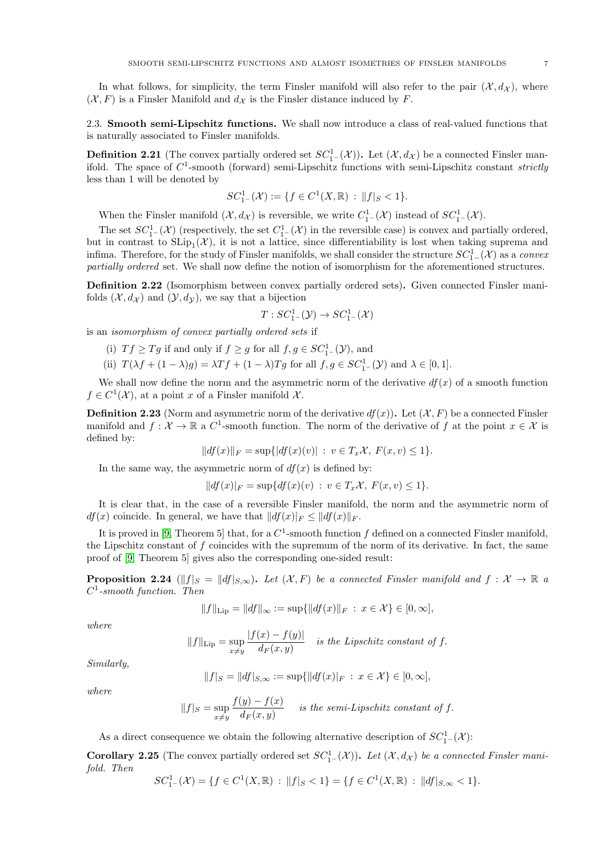In what follows, for simplicity, the term Finsler manifold will also refer to the pair  $(\mathcal{X}, d_{\mathcal{X}})$ , where  $(X, F)$  is a Finsler Manifold and  $d_X$  is the Finsler distance induced by F.

2.3. Smooth semi-Lipschitz functions. We shall now introduce a class of real-valued functions that is naturally associated to Finsler manifolds.

**Definition 2.21** (The convex partially ordered set  $SC_{1-}^{1}(\mathcal{X})$ ). Let  $(\mathcal{X}, d_{\mathcal{X}})$  be a connected Finsler manifold. The space of  $C^1$ -smooth (forward) semi-Lipschitz functions with semi-Lipschitz constant strictly less than 1 will be denoted by

$$
SC_{1-}^1(\mathcal{X}) := \{ f \in C^1(X, \mathbb{R}) : ||f||_S < 1 \}.
$$

When the Finsler manifold  $(\mathcal{X}, d_{\mathcal{X}})$  is reversible, we write  $C_{1-}^{1}(\mathcal{X})$  instead of  $SC_{1-}^{1}(\mathcal{X})$ .

The set  $SC_1^1(\mathcal{X})$  (respectively, the set  $C_1^1(\mathcal{X})$  in the reversible case) is convex and partially ordered, but in contrast to  $\text{SLip}_1(\mathcal{X})$ , it is not a lattice, since differentiability is lost when taking suprema and infima. Therefore, for the study of Finsler manifolds, we shall consider the structure  $SC_1^1$ <sub>−</sub>( $X$ ) as a *convex* partially ordered set. We shall now define the notion of isomorphism for the aforementioned structures.

**Definition 2.22** (Isomorphism between convex partially ordered sets). Given connected Finsler manifolds  $(\mathcal{X}, d_{\mathcal{X}})$  and  $(\mathcal{Y}, d_{\mathcal{Y}})$ , we say that a bijection

$$
T: SC^1_{1-}(\mathcal{Y}) \to SC^1_{1-}(\mathcal{X})
$$

is an isomorphism of convex partially ordered sets if

- (i)  $Tf \geq Tg$  if and only if  $f \geq g$  for all  $f, g \in SC_{1-}^{1}(\mathcal{Y})$ , and
- (ii)  $T(\lambda f + (1 \lambda)g) = \lambda Tf + (1 \lambda)Tg$  for all  $f, g \in SC_{1-}^{1}(\mathcal{Y})$  and  $\lambda \in [0, 1]$ .

We shall now define the norm and the asymmetric norm of the derivative  $df(x)$  of a smooth function  $f \in C^1(\mathcal{X})$ , at a point x of a Finsler manifold X.

**Definition 2.23** (Norm and asymmetric norm of the derivative  $df(x)$ ). Let  $(\mathcal{X}, F)$  be a connected Finsler manifold and  $f: \mathcal{X} \to \mathbb{R}$  a  $C^1$ -smooth function. The norm of the derivative of f at the point  $x \in \mathcal{X}$  is defined by:

$$
||df(x)||_F = \sup\{|df(x)(v)| : v \in T_x\mathcal{X}, F(x,v) \le 1\}.
$$

In the same way, the asymmetric norm of  $df(x)$  is defined by:

$$
||df(x)|_F = \sup\{df(x)(v) : v \in T_x\mathcal{X}, F(x, v) \le 1\}.
$$

It is clear that, in the case of a reversible Finsler manifold, the norm and the asymmetric norm of  $df(x)$  coincide. In general, we have that  $||df(x)||_F \leq ||df(x)||_F$ .

It is proved in [\[9,](#page-16-5) Theorem 5] that, for a  $C^1$ -smooth function f defined on a connected Finsler manifold, the Lipschitz constant of f coincides with the supremum of the norm of its derivative. In fact, the same proof of [\[9,](#page-16-5) Theorem 5] gives also the corresponding one-sided result:

**Proposition 2.24** ( $||f||_S = ||df||_{S,\infty}$ ). Let  $(X, F)$  be a connected Finsler manifold and  $f : X \to \mathbb{R}$  a  $C^1$ -smooth function. Then

$$
||f||_{\text{Lip}} = ||df||_{\infty} := \sup \{ ||df(x)||_F \, : \, x \in \mathcal{X} \} \in [0, \infty],
$$

where

$$
||f||_{\text{Lip}} = \sup_{x \neq y} \frac{|f(x) - f(y)|}{d_F(x, y)} \quad \text{is the Lipschitz constant of } f.
$$

Similarly,

$$
||f|_S = ||df|_{S,\infty} := \sup\{||df(x)|_F : x \in \mathcal{X}\} \in [0,\infty],
$$

where

$$
||f|_S = \sup_{x \neq y} \frac{f(y) - f(x)}{d_F(x, y)}
$$
 is the semi-Lipschitz constant of f.

As a direct consequence we obtain the following alternative description of  $SC_{1-}^{1}(\mathcal{X})$ :

<span id="page-6-0"></span>**Corollary 2.25** (The convex partially ordered set  $SC_{1-}^{1}(\mathcal{X})$ ). Let  $(\mathcal{X}, d_{\mathcal{X}})$  be a connected Finsler manifold. Then

$$
SC_{1^-}^1(\mathcal{X}) = \{ f \in C^1(X, \mathbb{R}) : ||f||_S < 1 \} = \{ f \in C^1(X, \mathbb{R}) : ||df||_{S, \infty} < 1 \}.
$$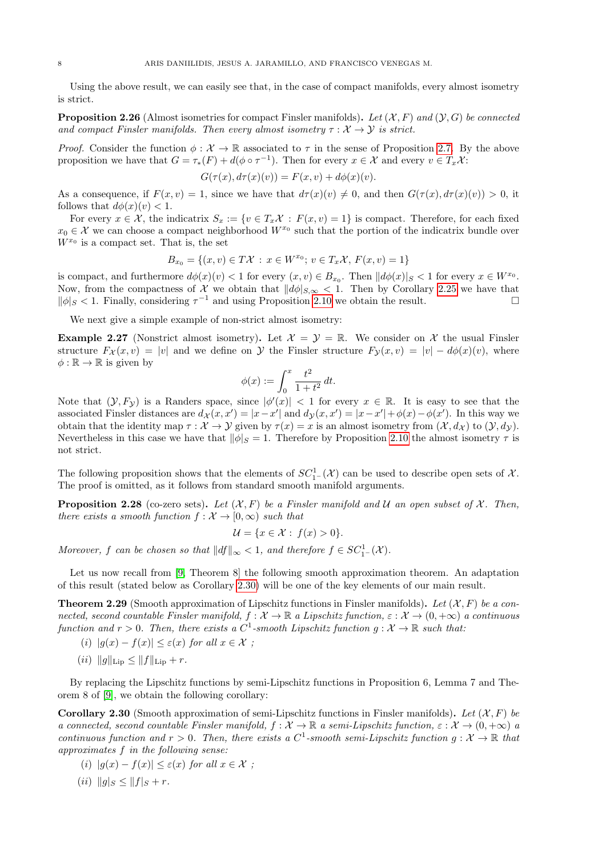Using the above result, we can easily see that, in the case of compact manifolds, every almost isometry is strict.

<span id="page-7-0"></span>**Proposition 2.26** (Almost isometries for compact Finsler manifolds). Let  $(X, F)$  and  $(Y, G)$  be connected and compact Finsler manifolds. Then every almost isometry  $\tau : \mathcal{X} \to \mathcal{Y}$  is strict.

*Proof.* Consider the function  $\phi : \mathcal{X} \to \mathbb{R}$  associated to  $\tau$  in the sense of Proposition [2.7.](#page-2-1) By the above proposition we have that  $G = \tau_*(F) + d(\phi \circ \tau^{-1})$ . Then for every  $x \in \mathcal{X}$  and every  $v \in T_x \mathcal{X}$ :

$$
G(\tau(x), d\tau(x)(v)) = F(x, v) + d\phi(x)(v).
$$

As a consequence, if  $F(x, v) = 1$ , since we have that  $d\tau(x)(v) \neq 0$ , and then  $G(\tau(x), d\tau(x)(v)) > 0$ , it follows that  $d\phi(x)(v) < 1$ .

For every  $x \in \mathcal{X}$ , the indicatrix  $S_x := \{v \in T_x \mathcal{X} : F(x, v) = 1\}$  is compact. Therefore, for each fixed  $x_0 \in \mathcal{X}$  we can choose a compact neighborhood  $W^{x_0}$  such that the portion of the indicatrix bundle over  $W^{x_0}$  is a compact set. That is, the set

$$
B_{x_0} = \{(x, v) \in T\mathcal{X} : x \in W^{x_0}; v \in T_x\mathcal{X}, F(x, v) = 1\}
$$

is compact, and furthermore  $d\phi(x)(v) < 1$  for every  $(x, v) \in B_{x_0}$ . Then  $||d\phi(x)||_S < 1$  for every  $x \in W^{x_0}$ . Now, from the compactness of X we obtain that  $||d\phi|_{S,\infty} < 1$ . Then by Corollary [2.25](#page-6-0) we have that  $\|\phi\|_{S}$  < 1. Finally, considering  $\tau^{-1}$  and using Proposition [2.10](#page-3-0) we obtain the result.

We next give a simple example of non-strict almost isometry:

**Example 2.27** (Nonstrict almost isometry). Let  $\mathcal{X} = \mathcal{Y} = \mathbb{R}$ . We consider on X the usual Finsler structure  $F_{\mathcal{X}}(x, v) = |v|$  and we define on Y the Finsler structure  $F_{\mathcal{Y}}(x, v) = |v| - d\phi(x)(v)$ , where  $\phi : \mathbb{R} \to \mathbb{R}$  is given by

$$
\phi(x) := \int_0^x \frac{t^2}{1 + t^2} \, dt.
$$

Note that  $(\mathcal{Y}, F_{\mathcal{Y}})$  is a Randers space, since  $|\phi'(x)| < 1$  for every  $x \in \mathbb{R}$ . It is easy to see that the associated Finsler distances are  $d_{\mathcal{X}}(x, x') = |x - x'|$  and  $d_{\mathcal{Y}}(x, x') = |x - x'| + \phi(x) - \phi(x')$ . In this way we obtain that the identity map  $\tau : \mathcal{X} \to \mathcal{Y}$  given by  $\tau(x) = x$  is an almost isometry from  $(\mathcal{X}, d_{\mathcal{X}})$  to  $(\mathcal{Y}, d_{\mathcal{Y}})$ . Nevertheless in this case we have that  $\|\phi\|_{S} = 1$ . Therefore by Proposition [2.10](#page-3-0) the almost isometry  $\tau$  is not strict.

The following proposition shows that the elements of  $SC_1^1$ - $(\mathcal{X})$  can be used to describe open sets of  $\mathcal{X}$ . The proof is omitted, as it follows from standard smooth manifold arguments.

<span id="page-7-2"></span>**Proposition 2.28** (co-zero sets). Let  $(X, F)$  be a Finsler manifold and U an open subset of X. Then, there exists a smooth function  $f: \mathcal{X} \to [0,\infty)$  such that

$$
\mathcal{U} = \{x \in \mathcal{X} : f(x) > 0\}.
$$

Moreover, f can be chosen so that  $||df||_{\infty} < 1$ , and therefore  $f \in SC_{1-}^{1}(\mathcal{X})$ .

Let us now recall from [\[9,](#page-16-5) Theorem 8] the following smooth approximation theorem. An adaptation of this result (stated below as Corollary [2.30\)](#page-7-1) will be one of the key elements of our main result.

**Theorem 2.29** (Smooth approximation of Lipschitz functions in Finsler manifolds). Let  $(X, F)$  be a connected, second countable Finsler manifold,  $f: \mathcal{X} \to \mathbb{R}$  a Lipschitz function,  $\varepsilon: \mathcal{X} \to (0, +\infty)$  a continuous function and  $r > 0$ . Then, there exists a  $C^1$ -smooth Lipschitz function  $g: \mathcal{X} \to \mathbb{R}$  such that:

- (i)  $|q(x) f(x)| \leq \varepsilon(x)$  for all  $x \in \mathcal{X}$ ;
- (*ii*)  $||g||_{\text{Lip}} \leq ||f||_{\text{Lip}} + r.$

By replacing the Lipschitz functions by semi-Lipschitz functions in Proposition 6, Lemma 7 and Theorem 8 of [\[9\]](#page-16-5), we obtain the following corollary:

<span id="page-7-1"></span>**Corollary 2.30** (Smooth approximation of semi-Lipschitz functions in Finsler manifolds). Let  $(X, F)$  be a connected, second countable Finsler manifold,  $f: \mathcal{X} \to \mathbb{R}$  a semi-Lipschitz function,  $\varepsilon: \mathcal{X} \to (0, +\infty)$  a continuous function and  $r > 0$ . Then, there exists a  $C^1$ -smooth semi-Lipschitz function  $g: \mathcal{X} \to \mathbb{R}$  that approximates f in the following sense:

- (i)  $|g(x) f(x)| \leq \varepsilon(x)$  for all  $x \in \mathcal{X}$ ;
- (*ii*)  $||g||_S \leq ||f||_S + r$ .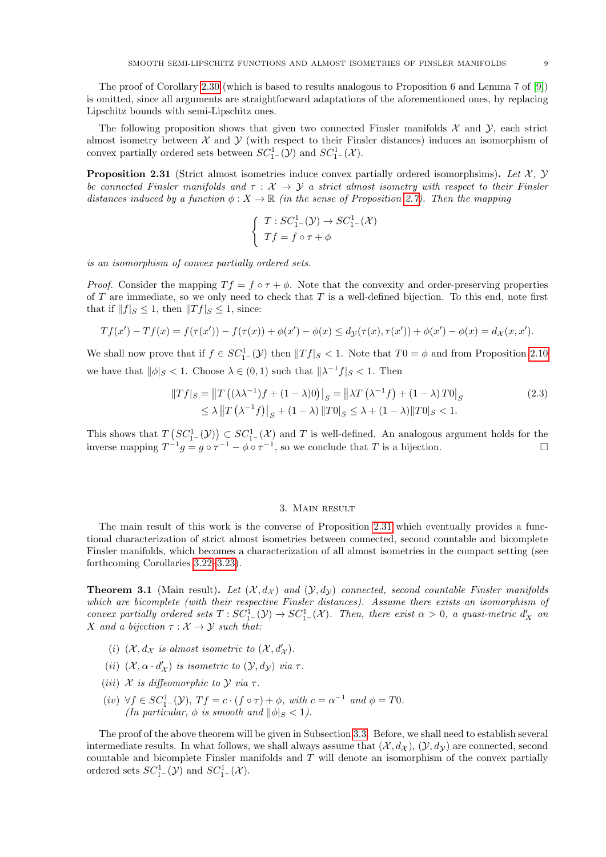The proof of Corollary [2.30](#page-7-1) (which is based to results analogous to Proposition 6 and Lemma 7 of [\[9\]](#page-16-5)) is omitted, since all arguments are straightforward adaptations of the aforementioned ones, by replacing Lipschitz bounds with semi-Lipschitz ones.

The following proposition shows that given two connected Finsler manifolds  $\mathcal{X}$  and  $\mathcal{Y}$ , each strict almost isometry between  $\mathcal X$  and  $\mathcal Y$  (with respect to their Finsler distances) induces an isomorphism of convex partially ordered sets between  $SC_{1-}^1(\mathcal{Y})$  and  $SC_{1-}^1(\mathcal{X})$ .

<span id="page-8-0"></span>**Proposition 2.31** (Strict almost isometries induce convex partially ordered isomorphsims). Let  $\mathcal{X}$ ,  $\mathcal{Y}$ be connected Finsler manifolds and  $\tau : \mathcal{X} \to \mathcal{Y}$  a strict almost isometry with respect to their Finsler distances induced by a function  $\phi: X \to \mathbb{R}$  (in the sense of Proposition [2.7\)](#page-2-1). Then the mapping

$$
\begin{cases}\nT: SC^1_{1-}(\mathcal{Y}) \to SC^1_{1-}(\mathcal{X}) \\
Tf = f \circ \tau + \phi\n\end{cases}
$$

is an isomorphism of convex partially ordered sets.

*Proof.* Consider the mapping  $T f = f \circ \tau + \phi$ . Note that the convexity and order-preserving properties of T are immediate, so we only need to check that T is a well-defined bijection. To this end, note first that if  $||f||_S \leq 1$ , then  $||Tf||_S \leq 1$ , since:

$$
Tf(x') - Tf(x) = f(\tau(x')) - f(\tau(x)) + \phi(x') - \phi(x) \le d_{\mathcal{Y}}(\tau(x), \tau(x')) + \phi(x') - \phi(x) = d_{\mathcal{X}}(x, x').
$$

We shall now prove that if  $f \in SC_1^1(\mathcal{Y})$  then  $||Tf||_S < 1$ . Note that  $T0 = \phi$  and from Proposition [2.10](#page-3-0) we have that  $\|\phi\|_{S} < 1$ . Choose  $\lambda \in (0, 1)$  such that  $\|\lambda^{-1}f\|_{S} < 1$ . Then

$$
||Tf|_S = ||T((\lambda \lambda^{-1})f + (1 - \lambda)0)|_S = ||\lambda T(\lambda^{-1}f) + (1 - \lambda)T0|_S
$$
  
\n
$$
\leq \lambda ||T(\lambda^{-1}f)|_S + (1 - \lambda) ||T0|_S \leq \lambda + (1 - \lambda) ||T0|_S < 1.
$$
\n(2.3)

This shows that  $T(SC_{1}^1(\mathcal{Y})) \subset SC_{1}^1(\mathcal{X})$  and T is well-defined. An analogous argument holds for the inverse mapping  $T^{-1}g = g \circ \tau^{-1} - \phi \circ \tau^{-1}$ , so we conclude that T is a bijection.

#### 3. Main result

<span id="page-8-2"></span>The main result of this work is the converse of Proposition [2.31](#page-8-0) which eventually provides a functional characterization of strict almost isometries between connected, second countable and bicomplete Finsler manifolds, which becomes a characterization of all almost isometries in the compact setting (see forthcoming Corollaries [3.22](#page-14-0)[–3.23\)](#page-14-1).

<span id="page-8-1"></span>**Theorem 3.1** (Main result). Let  $(X, d_X)$  and  $(Y, d_Y)$  connected, second countable Finsler manifolds which are bicomplete (with their respective Finsler distances). Assume there exists an isomorphism of convex partially ordered sets  $T: SC^1_{1-}(\mathcal{Y}) \to SC^1_{1-}(\mathcal{X})$ . Then, there exist  $\alpha > 0$ , a quasi-metric  $d'_X$  on X and a bijection  $\tau : \mathcal{X} \to \mathcal{Y}$  such that:

- (i)  $(\mathcal{X}, d_{\mathcal{X}})$  is almost isometric to  $(\mathcal{X}, d'_{\mathcal{X}})$ .
- (ii)  $(\mathcal{X}, \alpha \cdot d'_{\mathcal{X}})$  is isometric to  $(\mathcal{Y}, d_{\mathcal{Y}})$  via  $\tau$ .
- (iii)  $\mathcal X$  is diffeomorphic to  $\mathcal Y$  via  $\tau$ .
- (iv)  $\forall f \in SC_1^1(\mathcal{Y}), Tf = c \cdot (f \circ \tau) + \phi$ , with  $c = \alpha^{-1}$  and  $\phi = T0$ . (In particular,  $\phi$  is smooth and  $\|\phi\|_{S} < 1$ ).

The proof of the above theorem will be given in Subsection [3.3.](#page-13-0) Before, we shall need to establish several intermediate results. In what follows, we shall always assume that  $(\mathcal{X}, d_{\mathcal{X}}), (\mathcal{Y}, d_{\mathcal{Y}})$  are connected, second countable and bicomplete Finsler manifolds and T will denote an isomorphism of the convex partially ordered sets  $SC_{1-}^1(\mathcal{Y})$  and  $SC_{1-}^1(\mathcal{X})$ .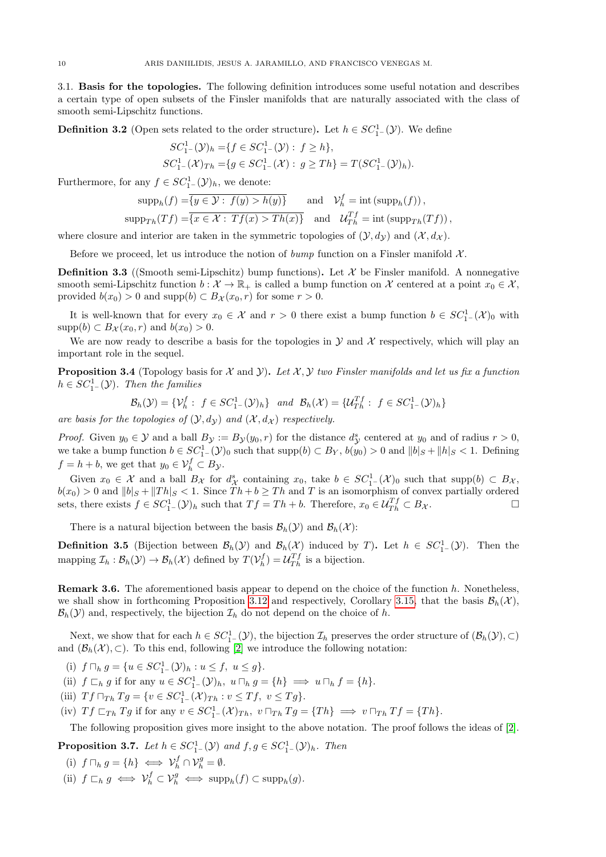3.1. Basis for the topologies. The following definition introduces some useful notation and describes a certain type of open subsets of the Finsler manifolds that are naturally associated with the class of smooth semi-Lipschitz functions.

**Definition 3.2** (Open sets related to the order structure). Let  $h \in SC^1_{1-}(\mathcal{Y})$ . We define

$$
SC_{1-}^{1}(\mathcal{Y})_{h} = \{ f \in SC_{1-}^{1}(\mathcal{Y}) : f \ge h \},
$$
  
\n
$$
SC_{1-}^{1}(\mathcal{X})_{Th} = \{ g \in SC_{1-}^{1}(\mathcal{X}) : g \ge Th \} = T(SC_{1-}^{1}(\mathcal{Y})_{h}).
$$

Furthermore, for any  $f \in SC_{1-}^{1}(\mathcal{Y})_h$ , we denote:

$$
\text{supp}_h(f) = \overline{\{y \in \mathcal{Y} : f(y) > h(y)\}} \quad \text{and} \quad \mathcal{V}_h^f = \text{int}(\text{supp}_h(f)),
$$
  

$$
\text{supp}_{Th}(Tf) = \overline{\{x \in \mathcal{X} : Tf(x) > Th(x)\}} \quad \text{and} \quad \mathcal{U}_{Th}^{Tf} = \text{int}(\text{supp}_{Th}(Tf)),
$$

where closure and interior are taken in the symmetric topologies of  $(\mathcal{Y}, d_{\mathcal{Y}})$  and  $(\mathcal{X}, d_{\mathcal{X}})$ .

Before we proceed, let us introduce the notion of bump function on a Finsler manifold  $\mathcal{X}$ .

**Definition 3.3** ((Smooth semi-Lipschitz) bump functions). Let  $\mathcal{X}$  be Finsler manifold. A nonnegative smooth semi-Lipschitz function  $b : \mathcal{X} \to \mathbb{R}_+$  is called a bump function on X centered at a point  $x_0 \in \mathcal{X}$ , provided  $b(x_0) > 0$  and supp $(b) \subset B_{\mathcal{X}}(x_0, r)$  for some  $r > 0$ .

It is well-known that for every  $x_0 \in \mathcal{X}$  and  $r > 0$  there exist a bump function  $b \in SC_1^1(\mathcal{X})_0$  with  $\text{supp}(b) \subset B_{\mathcal{X}}(x_0, r)$  and  $b(x_0) > 0$ .

We are now ready to describe a basis for the topologies in  $\mathcal Y$  and  $\mathcal X$  respectively, which will play an important role in the sequel.

**Proposition 3.4** (Topology basis for  $\mathcal X$  and  $\mathcal Y$ ). Let  $\mathcal X, \mathcal Y$  two Finsler manifolds and let us fix a function  $h \in SC_{1-}^{1}(\mathcal{Y})$ . Then the families

$$
\mathcal{B}_h(\mathcal{Y}) = \{ \mathcal{V}_h^f : f \in SC_1^1(\mathcal{Y})_h \} \quad and \quad \mathcal{B}_h(\mathcal{X}) = \{ \mathcal{U}_{Th}^{Tf} : f \in SC_1^1(\mathcal{Y})_h \}
$$

are basis for the topologies of  $(Y, d_Y)$  and  $(X, d_X)$  respectively.

*Proof.* Given  $y_0 \in \mathcal{Y}$  and a ball  $B_{\mathcal{Y}} := B_{\mathcal{Y}}(y_0, r)$  for the distance  $d_{\mathcal{Y}}^s$  centered at  $y_0$  and of radius  $r > 0$ , we take a bump function  $b \in SC_1^1(\mathcal{Y})_0$  such that  $supp(b) \subset B_Y$ ,  $b(y_0) > 0$  and  $||b||_S + ||h||_S < 1$ . Defining  $f = h + b$ , we get that  $y_0 \in \mathcal{V}_h^f \subset B_{\mathcal{Y}}$ .

Given  $x_0 \in \mathcal{X}$  and a ball  $B_{\mathcal{X}}$  for  $d_{\mathcal{X}}^s$  containing  $x_0$ , take  $b \in SC_1^1(\mathcal{X})_0$  such that supp $(b) \subset B_{\mathcal{X}}$ ,  $b(x_0) > 0$  and  $||b||_S + ||Th||_S < 1$ . Since  $Th + b \ge Th$  and T is an isomorphism of convex partially ordered sets, there exists  $f \in SC_1^1(\mathcal{Y})_h$  such that  $Tf = Th + b$ . Therefore,  $x_0 \in \mathcal{U}_{Th}^{Tf} \subset B_{\mathcal{X}}$ .

There is a natural bijection between the basis  $\mathcal{B}_h(\mathcal{Y})$  and  $\mathcal{B}_h(\mathcal{X})$ :

<span id="page-9-1"></span>**Definition 3.5** (Bijection between  $\mathcal{B}_h(\mathcal{Y})$  and  $\mathcal{B}_h(\mathcal{X})$  induced by T). Let  $h \in SC_1^1(\mathcal{Y})$ . Then the mapping  $\mathcal{I}_h : \mathcal{B}_h(\mathcal{Y}) \to \mathcal{B}_h(\mathcal{X})$  defined by  $T(\mathcal{V}_h^f) = \mathcal{U}_{Th}^{Tf}$  is a bijection.

Remark 3.6. The aforementioned basis appear to depend on the choice of the function h. Nonetheless, we shall show in forthcoming Proposition [3.12](#page-11-0) and respectively, Corollary [3.15,](#page-12-0) that the basis  $\mathcal{B}_h(\mathcal{X})$ ,  $\mathcal{B}_h(\mathcal{Y})$  and, respectively, the bijection  $\mathcal{I}_h$  do not depend on the choice of h.

Next, we show that for each  $h \in SC_{1-}^{1}(\mathcal{Y})$ , the bijection  $\mathcal{I}_{h}$  preserves the order structure of  $(\mathcal{B}_{h}(\mathcal{Y}), \subset)$ and  $(\mathcal{B}_h(\mathcal{X}), \subset)$ . To this end, following [\[2\]](#page-15-5) we introduce the following notation:

(i)  $f \sqcap_h g = \{u \in SC_{1-}^1(\mathcal{Y})_h : u \leq f, u \leq g\}.$ 

(ii)  $f \sqsubset_h g$  if for any  $u \in SC_1^1(\mathcal{Y})_h$ ,  $u \sqcap_h g = \{h\} \implies u \sqcap_h f = \{h\}.$ 

(iii)  $Tf \sqcap_{Th} Tg = \{ v \in SC_{1}^{1}(\mathcal{X})_{Th} : v \le Tf, v \le Tg \}.$ 

(iv)  $Tf\sqsubset_{Th} Tg$  if for any  $v \in SC_1^1(\mathcal{X})_{Th}$ ,  $v \sqcap_{Th} Tg = \{Th\} \implies v \sqcap_{Th} Tf = \{Th\}.$ 

The following proposition gives more insight to the above notation. The proof follows the ideas of [\[2\]](#page-15-5).

<span id="page-9-0"></span>**Proposition 3.7.** Let  $h \in SC_1^1(\mathcal{Y})$  and  $f, g \in SC_1^1(\mathcal{Y})_h$ . Then

(i)  $f \sqcap_h g = \{h\} \iff \mathcal{V}_h^f \cap \mathcal{V}_h^g = \emptyset.$ (ii)  $f \sqsubset_h g \iff \mathcal{V}_h^f \subset \mathcal{V}_h^g \iff \text{supp}_h(f) \subset \text{supp}_h(g)$ .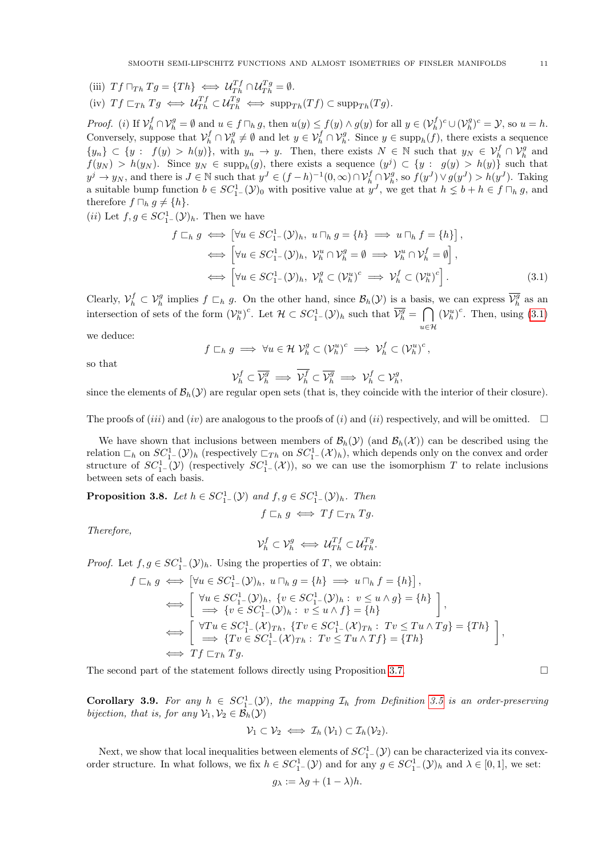(iii)  $Tf \sqcap_{Th} Tg = \{Th\} \iff \mathcal{U}_{Th}^{Tf} \cap \mathcal{U}_{Th}^{Tg} = \emptyset.$ 

(iv) 
$$
Tf\sqsubset_{Th} Tg \iff \mathcal{U}_{Th}^{Tf} \subset \mathcal{U}_{Th}^{Tg} \iff \text{supp}_{Th}(Tf) \subset \text{supp}_{Th}(Tg).
$$

Proof. (i) If  $\mathcal{V}_h^f \cap \mathcal{V}_h^g = \emptyset$  and  $u \in f \cap_h g$ , then  $u(y) \leq f(y) \wedge g(y)$  for all  $y \in (\mathcal{V}_h^f)^c \cup (\mathcal{V}_h^g)^c = \mathcal{Y}$ , so  $u = h$ .  $h \cup \vee h$ Conversely, suppose that  $\mathcal{V}_h^f \cap \mathcal{V}_h^g \neq \emptyset$  and let  $y \in \mathcal{V}_h^f \cap \mathcal{V}_h^g$ . Since  $y \in \text{supp}_h(f)$ , there exists a sequence  $\{y_n\} \subset \{y : f(y) > h(y)\}\$ , with  $y_n \to y$ . Then, there exists  $N \in \mathbb{N}$  such that  $y_N \in \mathcal{V}_h^f \cap \mathcal{V}_h^g$  and  $f(y_N) > h(y_N)$ . Since  $y_N \in \text{supp}_h(g)$ , there exists a sequence  $(y^j) \subset \{y : g(y) > h(y)\}$  such that  $y^j \to y_N$ , and there is  $J \in \mathbb{N}$  such that  $y^J \in (f-h)^{-1}(0,\infty) \cap \mathcal{V}_h^f \cap \mathcal{V}_h^g$ , so  $f(y^J) \vee g(y^J) > h(y^J)$ . Taking a suitable bump function  $b \in SC_{1-}^1(\mathcal{Y})_0$  with positive value at  $y^J$ , we get that  $h \leq b + h \in f \sqcap_h g$ , and therefore  $f \sqcap_h g \neq \{h\}.$ 

(*ii*) Let  $f, g \in SC_{1-}^1(\mathcal{Y})_h$ . Then we have

$$
f \sqsubset_h g \iff [\forall u \in SC_1^1(\mathcal{Y})_h, u \sqcap_h g = \{h\} \implies u \sqcap_h f = \{h\}],
$$
  

$$
\iff [\forall u \in SC_1^1(\mathcal{Y})_h, \mathcal{V}_h^u \cap \mathcal{V}_h^g = \emptyset \implies \mathcal{V}_h^u \cap \mathcal{V}_h^f = \emptyset],
$$
  

$$
\iff [\forall u \in SC_1^1(\mathcal{Y})_h, \mathcal{V}_h^g \subset (\mathcal{V}_h^u)^c \implies \mathcal{V}_h^f \subset (\mathcal{V}_h^u)^c].
$$
 (3.1)

Clearly,  $\mathcal{V}_h^f \subset \mathcal{V}_h^g$  implies  $f \subset_h g$ . On the other hand, since  $\mathcal{B}_h(\mathcal{Y})$  is a basis, we can express  $\overline{\mathcal{V}_h^g}$  as an intersection of sets of the form  $(\mathcal{V}_h^u)^c$ . Let  $\mathcal{H} \subset SC_1^1(\mathcal{Y})_h$  such that  $\overline{\mathcal{V}_h^g} = \bigcap$  $u \in \mathcal{H}$  $(\mathcal{V}_h^u)^c$ . Then, using  $(3.1)$ 

we deduce:

$$
f \sqsubset_h g \implies \forall u \in \mathcal{H} \ \mathcal{V}_h^g \subset (\mathcal{V}_h^u)^c \implies \mathcal{V}_h^f \subset (\mathcal{V}_h^u)^c
$$

so that

<span id="page-10-0"></span>
$$
\mathcal{V}_h^f \subset \overline{\mathcal{V}_h^g} \implies \overline{\mathcal{V}_h^f} \subset \overline{\mathcal{V}_h^g} \implies \mathcal{V}_h^f \subset \mathcal{V}_h^g,
$$

since the elements of  $\mathcal{B}_h(\mathcal{Y})$  are regular open sets (that is, they coincide with the interior of their closure).

The proofs of (*iii*) and (*iv*) are analogous to the proofs of (*i*) and (*ii*) respectively, and will be omitted.  $\square$ 

We have shown that inclusions between members of  $\mathcal{B}_h(\mathcal{Y})$  (and  $\mathcal{B}_h(\mathcal{X})$ ) can be described using the relation  $\mathcal{L}_h$  on  $SC_1^1(\mathcal{Y})_h$  (respectively  $\mathcal{L}_{Th}$  on  $SC_1^1(\mathcal{X})_h$ ), which depends only on the convex and order structure of  $SC_1^1$ - $(\mathcal{Y})$  (respectively  $SC_1^1$ - $(\mathcal{X})$ ), so we can use the isomorphism T to relate inclusions between sets of each basis.

**Proposition 3.8.** Let  $h \in SC_1^1(\mathcal{Y})$  and  $f, g \in SC_1^1(\mathcal{Y})_h$ . Then

Therefore,

$$
\mathcal{V}_h^f \subset \mathcal{V}_h^g \iff \mathcal{U}_{Th}^{Tf} \subset \mathcal{U}_{Th}^{Tg}.
$$

 $f\sqsubset_h g \iff Tf\sqsubset_{Th} T g.$ 

*Proof.* Let  $f, g \in SC_1^1(\mathcal{Y})_h$ . Using the properties of T, we obtain:

$$
f \sqsubset_h g \iff [\forall u \in SC_1^1(\mathcal{Y})_h, u \sqcap_h g = \{h\} \implies u \sqcap_h f = \{h\}],
$$
  
\n
$$
\iff \begin{bmatrix} \forall u \in SC_1^1(\mathcal{Y})_h, \{v \in SC_1^1(\mathcal{Y})_h : v \le u \land g\} = \{h\} \\ \implies \{v \in SC_1^1(\mathcal{Y})_h : v \le u \land f\} = \{h\} \end{bmatrix},
$$
  
\n
$$
\iff \begin{bmatrix} \forall Tu \in SC_1^1(\mathcal{X})_{Th}, \{Tv \in SC_1^1(\mathcal{X})_{Th} : Tv \le Tu \land Tg\} = \{Th\} \\ \implies \{Tv \in SC_1^1(\mathcal{X})_{Th} : Tv \le Tu \land Tf\} = \{Th\} \end{bmatrix},
$$
  
\n
$$
\iff Tf \sqsubset_{Th} Tg.
$$

The second part of the statement follows directly using Proposition [3.7.](#page-9-0)  $\Box$ 

**Corollary 3.9.** For any  $h \in SC_1^1(\mathcal{Y})$ , the mapping  $\mathcal{I}_h$  from Definition [3.5](#page-9-1) is an order-preserving bijection, that is, for any  $\mathcal{V}_1, \mathcal{V}_2 \in \mathcal{B}_h(\mathcal{Y})$ 

$$
\mathcal{V}_1 \subset \mathcal{V}_2 \iff \mathcal{I}_h(\mathcal{V}_1) \subset \mathcal{I}_h(\mathcal{V}_2).
$$

<span id="page-10-1"></span>Next, we show that local inequalities between elements of  $SC_{1-}^1(\mathcal{Y})$  can be characterized via its convexorder structure. In what follows, we fix  $h \in SC_{1-}^{1}(\mathcal{Y})$  and for any  $g \in SC_{1-}^{1}(\mathcal{Y})_h$  and  $\lambda \in [0,1]$ , we set:

$$
g_{\lambda} := \lambda g + (1 - \lambda)h.
$$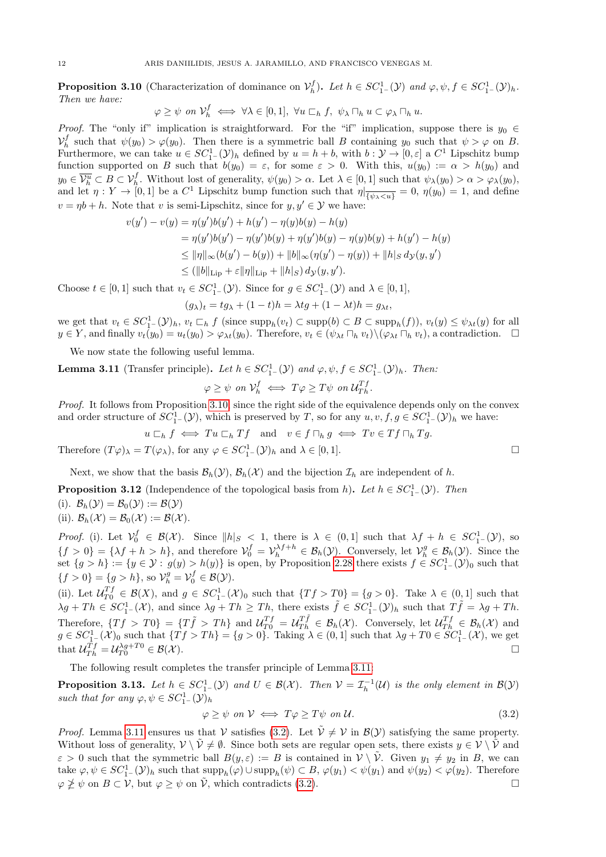**Proposition 3.10** (Characterization of dominance on  $\mathcal{V}_h^f$ ). Let  $h \in SC_1^1(\mathcal{Y})$  and  $\varphi, \psi, f \in SC_1^1(\mathcal{Y})_h$ . Then we have:

$$
\varphi \geq \psi \text{ on } \mathcal{V}_h^f \iff \forall \lambda \in [0,1], \ \forall u \sqsubset_h f, \ \psi_\lambda \sqcap_h u \subset \varphi_\lambda \sqcap_h u.
$$

*Proof.* The "only if" implication is straightforward. For the "if" implication, suppose there is  $y_0 \in$  $\mathcal{V}_h^f$  such that  $\psi(y_0) > \varphi(y_0)$ . Then there is a symmetric ball B containing  $y_0$  such that  $\psi > \varphi$  on B. Furthermore, we can take  $u \in SC_1^1(\mathcal{Y})_h$  defined by  $u = h + b$ , with  $b : \mathcal{Y} \to [0, \varepsilon]$  a  $C^1$  Lipschitz bump function supported on B such that  $b(y_0) = \varepsilon$ , for some  $\varepsilon > 0$ . With this,  $u(y_0) := \alpha > h(y_0)$  and  $y_0 \in \overline{\mathcal{V}_h^u} \subset B \subset \mathcal{V}_h^f$ . Without lost of generality,  $\psi(y_0) > \alpha$ . Let  $\lambda \in [0,1]$  such that  $\psi_\lambda(y_0) > \alpha > \varphi_\lambda(y_0)$ , and let  $\eta: Y \to [0,1]$  be a  $C^1$  Lipschitz bump function such that  $\eta|_{\overline{\{\psi_\lambda \lt u\}}}=0$ ,  $\eta(y_0)=1$ , and define  $v = \eta b + h$ . Note that v is semi-Lipschitz, since for  $y, y' \in \mathcal{Y}$  we have:

$$
v(y') - v(y) = \eta(y')b(y') + h(y') - \eta(y)b(y) - h(y)
$$
  
=  $\eta(y')b(y') - \eta(y')b(y) + \eta(y')b(y) - \eta(y)b(y) + h(y') - h(y)$   

$$
\leq ||\eta||_{\infty}(b(y') - b(y)) + ||b||_{\infty}(\eta(y') - \eta(y)) + ||h||_{S} d_{\mathcal{Y}}(y, y')
$$
  

$$
\leq (||b||_{\text{Lip}} + \varepsilon ||\eta||_{\text{Lip}} + ||h|_{S}) d_{\mathcal{Y}}(y, y').
$$

Choose  $t \in [0,1]$  such that  $v_t \in SC_1^{1}(\mathcal{Y})$ . Since for  $g \in SC_1^{1}(\mathcal{Y})$  and  $\lambda \in [0,1]$ ,

$$
(g_{\lambda})_t = tg_{\lambda} + (1-t)h = \lambda tg + (1-\lambda t)h = g_{\lambda t},
$$

we get that  $v_t \in SC_1^1(\mathcal{Y})_h$ ,  $v_t \sqsubset_h f$  (since  $\text{supp}_h(v_t) \subset \text{supp}(b) \subset B \subset \text{supp}_h(f)$ ),  $v_t(y) \leq \psi_{\lambda t}(y)$  for all  $y \in Y$ , and finally  $v_t(y_0) = u_t(y_0) > \varphi_{\lambda t}(y_0)$ . Therefore,  $v_t \in (\psi_{\lambda t} \sqcap_h v_t) \setminus (\varphi_{\lambda t} \sqcap_h v_t)$ , a contradiction.  $\Box$ 

We now state the following useful lemma.

<span id="page-11-1"></span>**Lemma 3.11** (Transfer principle). Let  $h \in SC_{1-}^{1}(\mathcal{Y})$  and  $\varphi, \psi, f \in SC_{1-}^{1}(\mathcal{Y})_h$ . Then:

$$
\varphi \geq \psi \ \ on \ \mathcal{V}_h^f \iff T\varphi \geq T\psi \ \ on \ \mathcal{U}_{Th}^{Tf}.
$$

Proof. It follows from Proposition [3.10,](#page-10-1) since the right side of the equivalence depends only on the convex and order structure of  $SC_1^1(\mathcal{Y})$ , which is preserved by T, so for any  $u, v, f, g \in SC_1^1(\mathcal{Y})_h$  we have:

$$
u \sqsubset_h f \iff Tu \sqsubset_h Tf
$$
 and  $v \in f \sqcap_h g \iff Tv \in Tf \sqcap_h Tg$ .

Therefore  $(T\varphi)_{\lambda} = T(\varphi_{\lambda})$ , for any  $\varphi \in SC_{1}^{1}(\mathcal{Y})_{h}$  and  $\lambda \in [0,1]$ .

Next, we show that the basis  $\mathcal{B}_h(\mathcal{Y}), \mathcal{B}_h(\mathcal{X})$  and the bijection  $\mathcal{I}_h$  are independent of h.

<span id="page-11-0"></span>**Proposition 3.12** (Independence of the topological basis from h). Let  $h \in SC_1^1(\mathcal{Y})$ . Then

(i). 
$$
\mathcal{B}_h(\mathcal{Y}) = \mathcal{B}_0(\mathcal{Y}) := \mathcal{B}(\mathcal{Y})
$$
  
(ii).  $\mathcal{B}_h(\mathcal{X}) = \mathcal{B}_0(\mathcal{X}) := \mathcal{B}(\mathcal{X})$ .

Proof. (i). Let  $V_0^f \in \mathcal{B}(\mathcal{X})$ . Since  $||h||_S < 1$ , there is  $\lambda \in (0,1]$  such that  $\lambda f + h \in SC_1^1(\mathcal{Y})$ , so  $\{f > 0\} = \{\lambda f + h > h\}$ , and therefore  $\mathcal{V}_0^f = \mathcal{V}_h^{\lambda f + h} \in \mathcal{B}_h(\mathcal{Y})$ . Conversely, let  $\mathcal{V}_h^g \in \mathcal{B}_h(\mathcal{Y})$ . Since the set  $\{g > h\} := \{y \in \mathcal{Y} : g(y) > h(y)\}\$ is open, by Proposition [2.28](#page-7-2) there exists  $f \in SC_1^1(\mathcal{Y})_0$  such that  $\{f > 0\} = \{g > h\}, \text{ so } \mathcal{V}_h^g = \mathcal{V}_0^f \in \mathcal{B}(\mathcal{Y}).$ 

(ii). Let  $\mathcal{U}_{T0}^{Tf} \in \mathcal{B}(X)$ , and  $g \in SC_{1-}^1(\mathcal{X})_0$  such that  $\{Tf > T0\} = \{g > 0\}$ . Take  $\lambda \in (0,1]$  such that  $\lambda g + Th \in SC_1^1(\mathcal{X})$ , and since  $\lambda g + Th \ge Th$ , there exists  $\tilde{f} \in SC_1^1(\mathcal{Y})_h$  such that  $T\tilde{f} = \lambda g + Th$ . Therefore,  $\{Tf > T0\} = \{T\tilde{f} > Th\}$  and  $\mathcal{U}_{T0}^{Tf} = \mathcal{U}_{Th}^{T\tilde{f}} \in \mathcal{B}_h(\mathcal{X})$ . Conversely, let  $\mathcal{U}_{Th}^{Tf} \in \mathcal{B}_h(\mathcal{X})$  and  $g \in SC_{1-}^{1}(\mathcal{X})_0$  such that  $\{Tf > Th\} = \{g > 0\}$ . Taking  $\lambda \in (0,1]$  such that  $\lambda g + T0 \in SC_{1-}^{1}(\mathcal{X})$ , we get that  $\mathcal{U}_{Th}^{Tf} = \mathcal{U}_{T0}^{\lambda g + T0} \in \mathcal{B}(\mathcal{X}).$ 

The following result completes the transfer principle of Lemma [3.11:](#page-11-1)

<span id="page-11-3"></span>**Proposition 3.13.** Let  $h \in SC_1^1(\mathcal{Y})$  and  $U \in \mathcal{B}(\mathcal{X})$ . Then  $\mathcal{V} = \mathcal{I}_h^{-1}(\mathcal{U})$  is the only element in  $\mathcal{B}(\mathcal{Y})$ such that for any  $\varphi, \psi \in SC_{1-}^{1}(\mathcal{Y})_{h}$ 

<span id="page-11-2"></span>
$$
\varphi \ge \psi \text{ on } \mathcal{V} \iff T\varphi \ge T\psi \text{ on } \mathcal{U}.\tag{3.2}
$$

*Proof.* Lemma [3.11](#page-11-1) ensures us that V satisfies [\(3.2\)](#page-11-2). Let  $\tilde{V} \neq V$  in  $\mathcal{B}(V)$  satisfying the same property. Without loss of generality,  $\mathcal{V} \setminus \tilde{\mathcal{V}} \neq \emptyset$ . Since both sets are regular open sets, there exists  $y \in \mathcal{V} \setminus \tilde{\mathcal{V}}$  and  $\varepsilon > 0$  such that the symmetric ball  $B(y, \varepsilon) := B$  is contained in  $V \setminus \tilde{V}$ . Given  $y_1 \neq y_2$  in B, we can take  $\varphi, \psi \in SC_1^1(\mathcal{Y})_h$  such that  $\text{supp}_h(\varphi) \cup \text{supp}_h(\psi) \subset B$ ,  $\varphi(y_1) < \psi(y_1)$  and  $\psi(y_2) < \varphi(y_2)$ . Therefore  $\varphi \ngeq \psi$  on  $B \subset V$ , but  $\varphi \geq \psi$  on  $\tilde{V}$ , which contradicts [\(3.2\)](#page-11-2).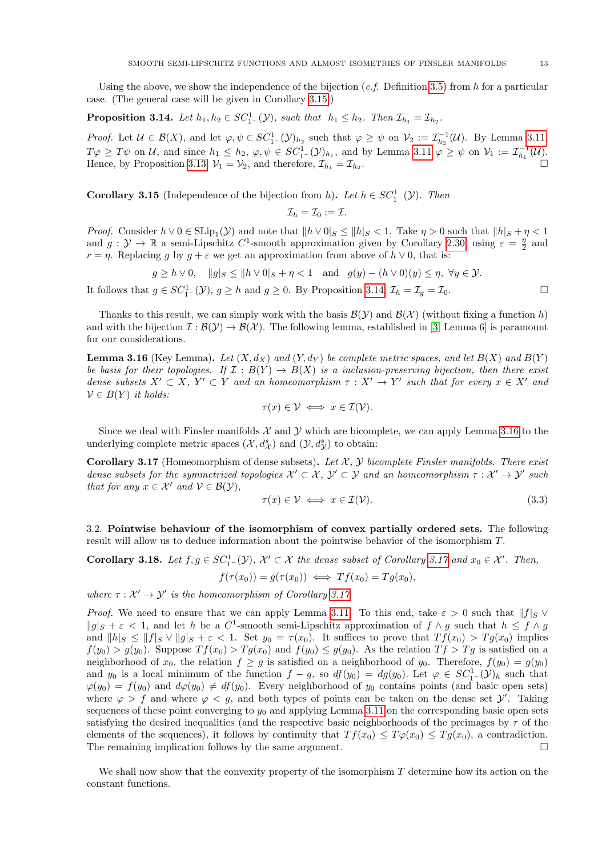Using the above, we show the independence of the bijection  $(c.f.$  Definition [3.5\)](#page-9-1) from h for a particular case. (The general case will be given in Corollary [3.15.](#page-12-0))

<span id="page-12-1"></span>**Proposition 3.14.** Let  $h_1, h_2 \in SC_1^1(\mathcal{Y})$ , such that  $h_1 \leq h_2$ . Then  $\mathcal{I}_{h_1} = \mathcal{I}_{h_2}$ .

Proof. Let  $\mathcal{U} \in \mathcal{B}(X)$ , and let  $\varphi, \psi \in \mathcal{SC}_{1-}^{1}(\mathcal{Y})_{h_2}$  such that  $\varphi \geq \psi$  on  $\mathcal{V}_2 := \mathcal{I}_{h_2}^{-1}(\mathcal{U})$ . By Lemma [3.11,](#page-11-1)  $T\varphi \geq T\psi$  on  $\mathcal{U}$ , and since  $h_1 \leq h_2$ ,  $\varphi, \psi \in SC_1^1(\mathcal{Y})_{h_1}$ , and by Lemma [3.11](#page-11-1)  $\varphi \geq \psi$  on  $\mathcal{V}_1 := \mathcal{I}_{h_1}^{-1}(\mathcal{U})$ . Hence, by Proposition [3.13,](#page-11-3)  $\mathcal{V}_1 = \mathcal{V}_2$ , and therefore,  $\mathcal{I}_{h_1} = \mathcal{I}_{h_2}$ . .

<span id="page-12-0"></span>**Corollary 3.15** (Independence of the bijection from h). Let  $h \in SC_1^1(\mathcal{Y})$ . Then

$$
\mathcal{I}_h=\mathcal{I}_0:=\mathcal{I}.
$$

*Proof.* Consider  $h \vee 0 \in \text{SLip}_1(\mathcal{Y})$  and note that  $||h \vee 0||_S \le ||h||_S < 1$ . Take  $\eta > 0$  such that  $||h||_S + \eta < 1$ and  $g: \mathcal{Y} \to \mathbb{R}$  a semi-Lipschitz  $C^1$ -smooth approximation given by Corollary [2.30,](#page-7-1) using  $\varepsilon = \frac{\eta}{2}$  and  $r = \eta$ . Replacing g by  $g + \varepsilon$  we get an approximation from above of  $h \vee 0$ , that is:

 $g \ge h \vee 0$ ,  $||g||_S \le ||h \vee 0|_S + \eta < 1$  and  $g(y) - (h \vee 0)(y) \le \eta$ ,  $\forall y \in \mathcal{Y}$ .

It follows that  $g \in SC_1^1(\mathcal{Y}), g \geq h$  and  $g \geq 0$ . By Proposition [3.14,](#page-12-1)  $\mathcal{I}_h = \mathcal{I}_g = \mathcal{I}_0$ .

Thanks to this result, we can simply work with the basis  $\mathcal{B}(\mathcal{Y})$  and  $\mathcal{B}(\mathcal{X})$  (without fixing a function h) and with the bijection  $\mathcal{I}: \mathcal{B}(\mathcal{Y}) \to \mathcal{B}(\mathcal{X})$ . The following lemma, established in [\[3,](#page-15-6) Lemma 6] is paramount for our considerations.

<span id="page-12-2"></span>**Lemma 3.16** (Key Lemma). Let  $(X, d_X)$  and  $(Y, d_Y)$  be complete metric spaces, and let  $B(X)$  and  $B(Y)$ be basis for their topologies. If  $\mathcal{I}: B(Y) \to B(X)$  is a inclusion-preserving bijection, then there exist dense subsets  $X' \subset X$ ,  $Y' \subset Y$  and an homeomorphism  $\tau : X' \to Y'$  such that for every  $x \in X'$  and  $V \in B(Y)$  it holds:

$$
\tau(x) \in \mathcal{V} \iff x \in \mathcal{I}(\mathcal{V}).
$$

Since we deal with Finsler manifolds  $\mathcal X$  and  $\mathcal Y$  which are bicomplete, we can apply Lemma [3.16](#page-12-2) to the underlying complete metric spaces  $(\mathcal{X}, d^s_{\mathcal{X}})$  and  $(\mathcal{Y}, d^s_{\mathcal{Y}})$  to obtain:

<span id="page-12-3"></span>**Corollary 3.17** (Homeomorphism of dense subsets). Let  $X$ ,  $Y$  bicomplete Finsler manifolds. There exist dense subsets for the symmetrized topologies  $\mathcal{X}' \subset \mathcal{X}$ ,  $\mathcal{Y}' \subset \mathcal{Y}$  and an homeomorphism  $\tau : \mathcal{X}' \to \mathcal{Y}'$  such that for any  $x \in \mathcal{X}'$  and  $\mathcal{V} \in \mathcal{B}(\mathcal{Y}),$ 

$$
\tau(x) \in \mathcal{V} \iff x \in \mathcal{I}(\mathcal{V}).\tag{3.3}
$$

3.2. Pointwise behaviour of the isomorphism of convex partially ordered sets. The following result will allow us to deduce information about the pointwise behavior of the isomorphism T.

<span id="page-12-5"></span>**Corollary 3.18.** Let  $f, g \in SC_1^1(\mathcal{Y})$ ,  $\mathcal{X}' \subset \mathcal{X}$  the dense subset of Corollary [3.17](#page-12-3) and  $x_0 \in \mathcal{X}'$ . Then,  $f(\tau(x_0)) = g(\tau(x_0)) \iff Tf(x_0) = Ta(x_0).$ 

where  $\tau : \mathcal{X}' \to \mathcal{Y}'$  is the homeomorphism of Corollary [3.17.](#page-12-3)

*Proof.* We need to ensure that we can apply Lemma [3.11.](#page-11-1) To this end, take  $\varepsilon > 0$  such that  $||f||_S \vee$  $||g||_S + \varepsilon < 1$ , and let h be a C<sup>1</sup>-smooth semi-Lipschitz approximation of  $f \wedge g$  such that  $h \le f \wedge g$ and  $||h||_S \leq ||f||_S \vee ||g||_S + \varepsilon < 1$ . Set  $y_0 = \tau(x_0)$ . It suffices to prove that  $Tf(x_0) > Tg(x_0)$  implies  $f(y_0) > g(y_0)$ . Suppose  $Tf(x_0) > Tg(x_0)$  and  $f(y_0) \le g(y_0)$ . As the relation  $Tf > Tg$  is satisfied on a neighborhood of  $x_0$ , the relation  $f \ge g$  is satisfied on a neighborhood of  $y_0$ . Therefore,  $f(y_0) = g(y_0)$ and y<sub>0</sub> is a local minimum of the function  $f-g$ , so  $df(y_0) = dg(y_0)$ . Let  $\varphi \in SC_1^1(\mathcal{Y})_h$  such that  $\varphi(y_0) = f(y_0)$  and  $d\varphi(y_0) \neq df(y_0)$ . Every neighborhood of  $y_0$  contains points (and basic open sets) where  $\varphi > f$  and where  $\varphi < g$ , and both types of points can be taken on the dense set  $\mathcal{Y}'$ . Taking sequences of these point converging to  $y_0$  and applying Lemma [3.11](#page-11-1) on the corresponding basic open sets satisfying the desired inequalities (and the respective basic neighborhoods of the preimages by  $\tau$  of the elements of the sequences), it follows by continuity that  $Tf(x_0) \leq T\varphi(x_0) \leq Tg(x_0)$ , a contradiction. The remaining implication follows by the same argument.  $\Box$ 

<span id="page-12-4"></span>We shall now show that the convexity property of the isomorphism  $T$  determine how its action on the constant functions.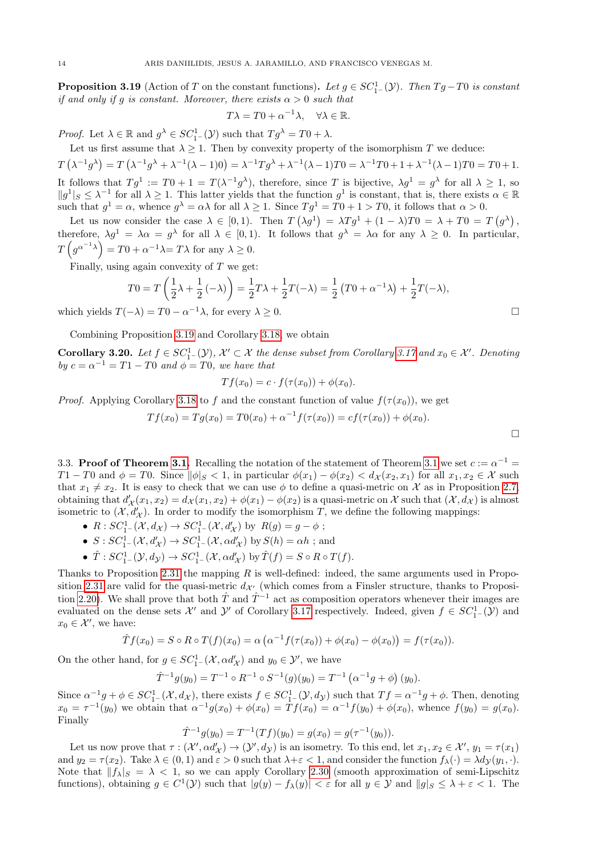**Proposition 3.19** (Action of T on the constant functions). Let  $g \in SC_{1-}^1(\mathcal{Y})$ . Then  $Tg-T0$  is constant if and only if g is constant. Moreover, there exists  $\alpha > 0$  such that

$$
T\lambda = T0 + \alpha^{-1}\lambda, \quad \forall \lambda \in \mathbb{R}.
$$

*Proof.* Let  $\lambda \in \mathbb{R}$  and  $g^{\lambda} \in SC_{1}^{1}(\mathcal{Y})$  such that  $Tg^{\lambda} = T0 + \lambda$ .

Let us first assume that  $\lambda \geq 1$ . Then by convexity property of the isomorphism T we deduce:

 $T(\lambda^{-1}g^{\lambda}) = T(\lambda^{-1}g^{\lambda} + \lambda^{-1}(\lambda - 1)0) = \lambda^{-1}Tg^{\lambda} + \lambda^{-1}(\lambda - 1)T0 = \lambda^{-1}T0 + 1 + \lambda^{-1}(\lambda - 1)T0 = T0 + 1.$ It follows that  $Tg^1 := T0 + 1 = T(\lambda^{-1}g^{\lambda})$ , therefore, since T is bijective,  $\lambda g^1 = g^{\lambda}$  for all  $\lambda \geq 1$ , so  $||g^1||_S \leq \lambda^{-1}$  for all  $\lambda \geq 1$ . This latter yields that the function  $g^1$  is constant, that is, there exists  $\alpha \in \mathbb{R}$ such that  $g^1 = \alpha$ , whence  $g^{\lambda} = \alpha \lambda$  for all  $\lambda \geq 1$ . Since  $T g^1 = T 0 + 1 > T 0$ , it follows that  $\alpha > 0$ .

Let us now consider the case  $\lambda \in [0,1)$ . Then  $T(\lambda g^1) = \lambda T g^1 + (1-\lambda)T0 = \lambda + T0 = T(g^{\lambda})$ , therefore,  $\lambda g^1 = \lambda \alpha = g^{\lambda}$  for all  $\lambda \in [0,1)$ . It follows that  $g^{\lambda} = \lambda \alpha$  for any  $\lambda \geq 0$ . In particular,  $T(g^{\alpha^{-1}\lambda}) = T0 + \alpha^{-1}\lambda = T\lambda$  for any  $\lambda \geq 0$ .

Finally, using again convexity of  $T$  we get:

$$
T0 = T\left(\frac{1}{2}\lambda + \frac{1}{2}\left(-\lambda\right)\right) = \frac{1}{2}T\lambda + \frac{1}{2}T(-\lambda) = \frac{1}{2}\left(T0 + \alpha^{-1}\lambda\right) + \frac{1}{2}T(-\lambda),
$$

which yields  $T(-\lambda) = T0 - \alpha^{-1}\lambda$ , for every  $\lambda \ge 0$ .

Combining Proposition [3.19](#page-12-4) and Corollary [3.18,](#page-12-5) we obtain

**Corollary 3.20.** Let  $f \in SC_1^1(\mathcal{Y})$ ,  $\mathcal{X}' \subset \mathcal{X}$  the dense subset from Corollary [3.17](#page-12-3) and  $x_0 \in \mathcal{X}'$ . Denoting by  $c = \alpha^{-1} = T1 - T0$  and  $\phi = T0$ , we have that

$$
Tf(x_0) = c \cdot f(\tau(x_0)) + \phi(x_0).
$$

*Proof.* Applying Corollary [3.18](#page-12-5) to f and the constant function of value  $f(\tau(x_0))$ , we get

$$
Tf(x_0) = Tg(x_0) = T0(x_0) + \alpha^{-1}f(\tau(x_0)) = cf(\tau(x_0)) + \phi(x_0).
$$

<span id="page-13-0"></span>3.3. Proof of Theorem [3.1.](#page-8-1) Recalling the notation of the statement of Theorem [3.1](#page-8-1) we set  $c := \alpha^{-1} =$  $T1 - T0$  and  $\phi = T0$ . Since  $\|\phi\|_{S} < 1$ , in particular  $\phi(x_1) - \phi(x_2) < d_{\mathcal{X}}(x_2, x_1)$  for all  $x_1, x_2 \in \mathcal{X}$  such that  $x_1 \neq x_2$ . It is easy to check that we can use  $\phi$  to define a quasi-metric on X as in Proposition [2.7,](#page-2-1) obtaining that  $d'_{\mathcal{X}}(x_1, x_2) = d_{\mathcal{X}}(x_1, x_2) + \phi(x_1) - \phi(x_2)$  is a quasi-metric on  $\mathcal{X}$  such that  $(\mathcal{X}, d_{\mathcal{X}})$  is almost isometric to  $(\mathcal{X}, d'_{\mathcal{X}})$ . In order to modify the isomorphism T, we define the following mappings:

- $R: SC_{1-}^1(\mathcal{X}, d_{\mathcal{X}}) \to SC_{1-}^1(\mathcal{X}, d'_{\mathcal{X}})$  by  $R(g) = g \phi$ ;
- $S:SC_{1-}^{1}(\mathcal{X}, d'_{\mathcal{X}}) \to SC_{1-}^{1}(\mathcal{X}, \alpha d'_{\mathcal{X}})$  by  $S(h) = \alpha h$ ; and
- $\hat{T}: SC^1_{1-}(\mathcal{Y}, d_{\mathcal{Y}}) \to SC^1_{1-}(\mathcal{X}, \alpha d'_{\mathcal{X}})$  by  $\hat{T}(f) = S \circ R \circ T(f)$ .

Thanks to Proposition [2.31](#page-8-0) the mapping  $R$  is well-defined: indeed, the same arguments used in Propo-sition [2.31](#page-8-0) are valid for the quasi-metric  $d_{\mathcal{X}'}$  (which comes from a Finsler structure, thanks to Proposi-tion [2.20\)](#page-5-1). We shall prove that both  $\hat{T}$  and  $\hat{T}^{-1}$  act as composition operators whenever their images are evaluated on the dense sets  $\mathcal{X}'$  and  $\mathcal{Y}'$  of Corollary [3.17](#page-12-3) respectively. Indeed, given  $f \in SC_1^1(\mathcal{Y})$  and  $x_0 \in \mathcal{X}'$ , we have:

$$
\hat{T}f(x_0) = S \circ R \circ T(f)(x_0) = \alpha \left( \alpha^{-1} f(\tau(x_0)) + \phi(x_0) - \phi(x_0) \right) = f(\tau(x_0)).
$$

On the other hand, for  $g \in SC_{1-}^1(\mathcal{X}, \alpha d'_{\mathcal{X}})$  and  $y_0 \in \mathcal{Y}'$ , we have

$$
\hat{T}^{-1}g(y_0) = T^{-1} \circ R^{-1} \circ S^{-1}(g)(y_0) = T^{-1} (\alpha^{-1}g + \phi)(y_0).
$$

Since  $\alpha^{-1}g + \phi \in SC_1^1(\mathcal{X}, d_{\mathcal{X}})$ , there exists  $f \in SC_1^1(\mathcal{Y}, d_{\mathcal{Y}})$  such that  $Tf = \alpha^{-1}g + \phi$ . Then, denoting  $x_0 = \tau^{-1}(y_0)$  we obtain that  $\alpha^{-1}g(x_0) + \phi(x_0) = \tilde{T}f(x_0) = \alpha^{-1}f(y_0) + \phi(x_0)$ , whence  $f(y_0) = g(x_0)$ . Finally

$$
\hat{T}^{-1}g(y_0) = T^{-1}(Tf)(y_0) = g(x_0) = g(\tau^{-1}(y_0)).
$$

Let us now prove that  $\tau: (\mathcal{X}', \alpha d'_{\mathcal{X}}) \to (\mathcal{Y}', d_{\mathcal{Y}})$  is an isometry. To this end, let  $x_1, x_2 \in \mathcal{X}', y_1 = \tau(x_1)$ and  $y_2 = \tau(x_2)$ . Take  $\lambda \in (0, 1)$  and  $\varepsilon > 0$  such that  $\lambda + \varepsilon < 1$ , and consider the function  $f_{\lambda}(\cdot) = \lambda dy(y_1, \cdot)$ . Note that  $||f_{\lambda}||_{S} = \lambda < 1$ , so we can apply Corollary [2.30](#page-7-1) (smooth approximation of semi-Lipschitz functions), obtaining  $g \in C^1(\mathcal{Y})$  such that  $|g(y) - f_\lambda(y)| < \varepsilon$  for all  $y \in \mathcal{Y}$  and  $||g||_S \leq \lambda + \varepsilon < 1$ . The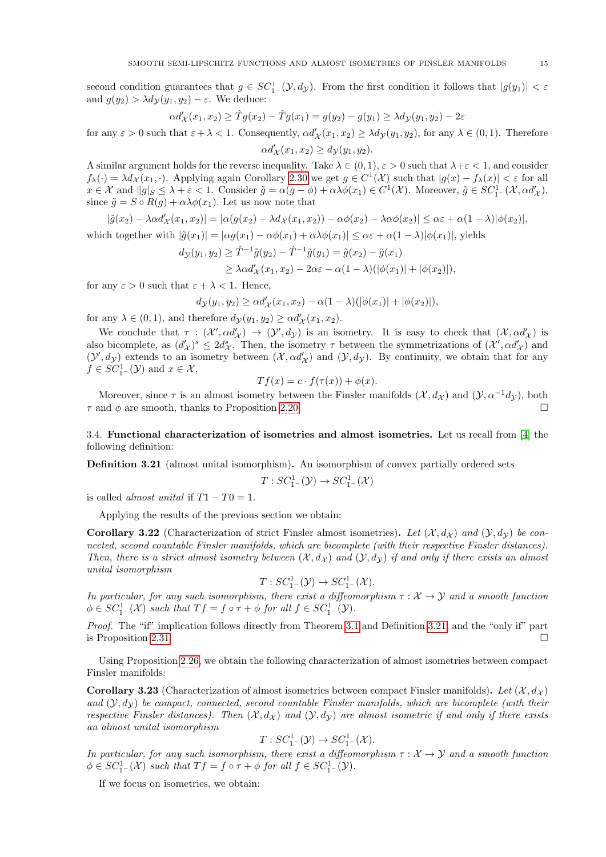second condition guarantees that  $g \in SC_1^1(\mathcal{Y}, d_{\mathcal{Y}})$ . From the first condition it follows that  $|g(y_1)| < \varepsilon$ and  $g(y_2) > \lambda d_V(y_1, y_2) - \varepsilon$ . We deduce:

$$
\alpha d'_{\mathcal{X}}(x_1,x_2) \geq \hat{T}g(x_2) - \hat{T}g(x_1) = g(y_2) - g(y_1) \geq \lambda d_{\mathcal{Y}}(y_1,y_2) - 2\varepsilon
$$

for any  $\varepsilon > 0$  such that  $\varepsilon + \lambda < 1$ . Consequently,  $\alpha d'_{\mathcal{X}}(x_1, x_2) \geq \lambda d_{\mathcal{Y}}(y_1, y_2)$ , for any  $\lambda \in (0, 1)$ . Therefore

$$
\alpha d'_{\mathcal{X}}(x_1, x_2) \ge d_{\mathcal{Y}}(y_1, y_2).
$$
 A similar argument holds for the reverse inequality. Take  $\lambda \in (0, 1)$ ,  $\varepsilon > 0$  such that  $\lambda + \varepsilon < 1$ , and consider

 $f_{\lambda}(\cdot) = \lambda d_{\mathcal{X}}(x_1, \cdot)$ . Applying again Corollary [2.30](#page-7-1) we get  $g \in C^1(\mathcal{X})$  such that  $|g(x) - f_{\lambda}(x)| < \varepsilon$  for all  $x \in \mathcal{X}$  and  $||g||_{S} \leq \lambda + \varepsilon < 1$ . Consider  $\tilde{g} = \alpha(g - \phi) + \alpha \lambda \phi(x_1) \in C^1(\mathcal{X})$ . Moreover,  $\tilde{g} \in SC_{1-}^1(\mathcal{X}, \alpha d'_{\mathcal{X}})$ , since  $\tilde{q} = S \circ R(q) + \alpha \lambda \phi(x_1)$ . Let us now note that

$$
|\tilde{g}(x_2)-\lambda \alpha d_{\mathcal{X}}'(x_1,x_2)|=|\alpha (g(x_2)-\lambda d_{\mathcal{X}}(x_1,x_2))-\alpha \phi(x_2)-\lambda \alpha \phi(x_2)|\leq \alpha \varepsilon +\alpha (1-\lambda)|\phi(x_2)|,
$$

which together with  $|\tilde{g}(x_1)| = |\alpha g(x_1) - \alpha \phi(x_1) + \alpha \lambda \phi(x_1)| \leq \alpha \varepsilon + \alpha(1 - \lambda) |\phi(x_1)|$ , yields

$$
d_{\mathcal{Y}}(y_1, y_2) \ge \hat{T}^{-1}\tilde{g}(y_2) - \hat{T}^{-1}\tilde{g}(y_1) = \tilde{g}(x_2) - \tilde{g}(x_1)
$$
  
\n
$$
\ge \lambda \alpha d'_{\mathcal{X}}(x_1, x_2) - 2\alpha \varepsilon - \alpha (1 - \lambda)(|\phi(x_1)| + |\phi(x_2)|),
$$

for any  $\varepsilon > 0$  such that  $\varepsilon + \lambda < 1$ . Hence,

$$
d_{\mathcal{Y}}(y_1, y_2) \ge \alpha d'_{\mathcal{X}}(x_1, x_2) - \alpha (1 - \lambda) (|\phi(x_1)| + |\phi(x_2)|),
$$

for any  $\lambda \in (0, 1)$ , and therefore  $d_{\mathcal{Y}}(y_1, y_2) \geq \alpha d'_{\mathcal{X}}(x_1, x_2)$ .

We conclude that  $\tau : (\mathcal{X}', \alpha d'_{\mathcal{X}}) \to (\mathcal{Y}', d_{\mathcal{Y}})$  is an isometry. It is easy to check that  $(\mathcal{X}, \alpha d'_{\mathcal{X}})$  is also bicomplete, as  $(d'_{\mathcal{X}})^s \leq 2d_{\mathcal{X}}^s$ . Then, the isometry  $\tau$  between the symmetrizations of  $(\mathcal{X}', \alpha d'_{\mathcal{X}})$  and  $(\mathcal{Y}', d_{\mathcal{Y}})$  extends to an isometry between  $(\mathcal{X}, \alpha d_{\mathcal{X}}')$  and  $(\mathcal{Y}, d_{\mathcal{Y}})$ . By continuity, we obtain that for any  $f \in SC_{1-}^{1}(\mathcal{Y})$  and  $x \in \mathcal{X}$ ,

$$
Tf(x) = c \cdot f(\tau(x)) + \phi(x).
$$

Moreover, since  $\tau$  is an almost isometry between the Finsler manifolds  $(\mathcal{X}, d_{\mathcal{X}})$  and  $(\mathcal{Y}, \alpha^{-1}d_{\mathcal{Y}})$ , both  $\tau$  and  $\phi$  are smooth, thanks to Proposition [2.20.](#page-5-1)

3.4. Functional characterization of isometries and almost isometries. Let us recall from [\[4\]](#page-15-2) the following definition:

<span id="page-14-2"></span>Definition 3.21 (almost unital isomorphism). An isomorphism of convex partially ordered sets

$$
T:SC^1_{1-}(\mathcal{Y}) \to SC^1_{1-}(\mathcal{X})
$$

is called *almost unital* if  $T1 - T0 = 1$ .

Applying the results of the previous section we obtain:

<span id="page-14-0"></span>**Corollary 3.22** (Characterization of strict Finsler almost isometries). Let  $(\mathcal{X}, d_{\mathcal{X}})$  and  $(\mathcal{Y}, d_{\mathcal{Y}})$  be connected, second countable Finsler manifolds, which are bicomplete (with their respective Finsler distances). Then, there is a strict almost isometry between  $(\mathcal{X}, d_{\mathcal{X}})$  and  $(\mathcal{Y}, d_{\mathcal{Y}})$  if and only if there exists an almost unital isomorphism

$$
T: SC^1_{1-}(\mathcal{Y}) \to SC^1_{1-}(\mathcal{X}).
$$

In particular, for any such isomorphism, there exist a diffeomorphism  $\tau : \mathcal{X} \to \mathcal{Y}$  and a smooth function  $\phi \in SC_{1}^{1}^{-}(\mathcal{X})$  such that  $Tf = f \circ \tau + \phi$  for all  $f \in SC_{1}^{1}^{-}(\mathcal{Y})$ .

Proof. The "if" implication follows directly from Theorem [3.1](#page-8-1) and Definition [3.21,](#page-14-2) and the "only if" part is Proposition [2.31.](#page-8-0)

Using Proposition [2.26,](#page-7-0) we obtain the following characterization of almost isometries between compact Finsler manifolds:

<span id="page-14-1"></span>**Corollary 3.23** (Characterization of almost isometries between compact Finsler manifolds). Let  $(\mathcal{X}, d_{\mathcal{X}})$ and  $(\mathcal{Y}, d_{\mathcal{Y}})$  be compact, connected, second countable Finsler manifolds, which are bicomplete (with their respective Finsler distances). Then  $(\mathcal{X}, d_{\mathcal{X}})$  and  $(\mathcal{Y}, d_{\mathcal{Y}})$  are almost isometric if and only if there exists an almost unital isomorphism

$$
T: SC^1_{1-}(\mathcal{Y}) \to SC^1_{1-}(\mathcal{X}).
$$

In particular, for any such isomorphism, there exist a diffeomorphism  $\tau : \mathcal{X} \to \mathcal{Y}$  and a smooth function  $\phi \in SC_{1-}^{1}(\mathcal{X})$  such that  $Tf = f \circ \tau + \phi$  for all  $f \in SC_{1-}^{1}(\mathcal{Y})$ .

If we focus on isometries, we obtain: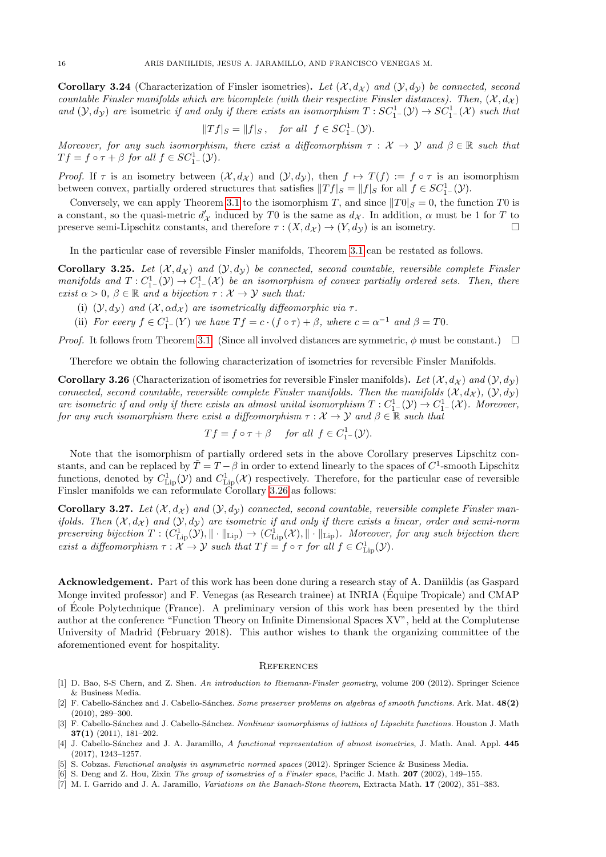**Corollary 3.24** (Characterization of Finsler isometries). Let  $(\mathcal{X}, d_{\mathcal{X}})$  and  $(\mathcal{Y}, d_{\mathcal{Y}})$  be connected, second countable Finsler manifolds which are bicomplete (with their respective Finsler distances). Then,  $(\mathcal{X}, d_{\mathcal{X}})$ and  $(\mathcal{Y}, d_{\mathcal{Y}})$  are isometric if and only if there exists an isomorphism  $T: SC^1_{1-}(\mathcal{Y}) \to SC^1_{1-}(\mathcal{X})$  such that

$$
||Tf|_S = ||f|_S, \quad \text{for all} \ \ f \in SC_{1-}^1(\mathcal{Y}).
$$

Moreover, for any such isomorphism, there exist a diffeomorphism  $\tau : \mathcal{X} \to \mathcal{Y}$  and  $\beta \in \mathbb{R}$  such that  $Tf = f \circ \tau + \beta$  for all  $f \in SC_{1-}^{1}(\mathcal{Y})$ .

*Proof.* If  $\tau$  is an isometry between  $(\mathcal{X}, d_{\mathcal{X}})$  and  $(\mathcal{Y}, d_{\mathcal{Y}})$ , then  $f \mapsto T(f) := f \circ \tau$  is an isomorphism between convex, partially ordered structures that satisfies  $||Tf|_S = ||f||_S$  for all  $f \in SC_1^1(\mathcal{Y})$ .

Conversely, we can apply Theorem [3.1](#page-8-1) to the isomorphism T, and since  $||T0||_S = 0$ , the function T0 is a constant, so the quasi-metric  $d'_{\mathcal{X}}$  induced by T0 is the same as  $d_{\mathcal{X}}$ . In addition,  $\alpha$  must be 1 for T to preserve semi-Lipschitz constants, and therefore  $\tau : (X, d_X) \to (Y, d_Y)$  is an isometry.

In the particular case of reversible Finsler manifolds, Theorem [3.1](#page-8-1) can be restated as follows.

**Corollary 3.25.** Let  $(\mathcal{X}, d_{\mathcal{X}})$  and  $(\mathcal{Y}, d_{\mathcal{Y}})$  be connected, second countable, reversible complete Finsler manifolds and  $T: C^1_{1-}(\mathcal{Y}) \to C^1_{1-}(\mathcal{X})$  be an isomorphism of convex partially ordered sets. Then, there exist  $\alpha > 0$ ,  $\beta \in \mathbb{R}$  and a bijection  $\tau : \mathcal{X} \to \mathcal{Y}$  such that:

- (i)  $(\mathcal{Y}, d_{\mathcal{Y}})$  and  $(\mathcal{X}, \alpha d_{\mathcal{X}})$  are isometrically diffeomorphic via  $\tau$ .
- (ii) For every  $f \in C_{1}^{1}(Y)$  we have  $Tf = c \cdot (f \circ \tau) + \beta$ , where  $c = \alpha^{-1}$  and  $\beta = T0$ .

*Proof.* It follows from Theorem [3.1.](#page-8-1) (Since all involved distances are symmetric,  $\phi$  must be constant.)  $\Box$ 

Therefore we obtain the following characterization of isometries for reversible Finsler Manifolds.

<span id="page-15-7"></span>**Corollary 3.26** (Characterization of isometries for reversible Finsler manifolds). Let  $(\mathcal{X}, d_{\mathcal{X}})$  and  $(\mathcal{Y}, d_{\mathcal{Y}})$ connected, second countable, reversible complete Finsler manifolds. Then the manifolds  $(\mathcal{X}, d_{\mathcal{X}})$ ,  $(\mathcal{Y}, d_{\mathcal{Y}})$ are isometric if and only if there exists an almost unital isomorphism  $T: C^1_{1-}(\mathcal{Y}) \to C^1_{1-}(\mathcal{X})$ . Moreover, for any such isomorphism there exist a diffeomorphism  $\tau : \mathcal{X} \to \mathcal{Y}$  and  $\beta \in \mathbb{R}$  such that

$$
Tf = f \circ \tau + \beta
$$
 for all  $f \in C_{1}^{1}(\mathcal{Y})$ .

Note that the isomorphism of partially ordered sets in the above Corollary preserves Lipschitz constants, and can be replaced by  $\tilde{T} = T - \beta$  in order to extend linearly to the spaces of  $C^1$ -smooth Lipschitz functions, denoted by  $C_{\text{Lip}}^1(\mathcal{Y})$  and  $C_{\text{Lip}}^1(\mathcal{X})$  respectively. Therefore, for the particular case of reversible Finsler manifolds we can reformulate Corollary [3.26](#page-15-7) as follows:

**Corollary 3.27.** Let  $(\mathcal{X}, d_{\mathcal{X}})$  and  $(\mathcal{Y}, d_{\mathcal{Y}})$  connected, second countable, reversible complete Finsler manifolds. Then  $(\mathcal{X}, d_{\mathcal{X}})$  and  $(\mathcal{Y}, d_{\mathcal{Y}})$  are isometric if and only if there exists a linear, order and semi-norm preserving bijection  $T: (C^1_{\text{Lip}}(\mathcal{Y}), \|\cdot\|_{\text{Lip}}) \to (C^1_{\text{Lip}}(\mathcal{X}), \|\cdot\|_{\text{Lip}})$ . Moreover, for any such bijection there exist a diffeomorphism  $\tau : \mathcal{X} \to \mathcal{Y}$  such that  $Tf = f \circ \tau$  for all  $f \in C^1_{\text{Lip}}(\mathcal{Y})$ .

Acknowledgement. Part of this work has been done during a research stay of A. Daniildis (as Gaspard Monge invited professor) and F. Venegas (as Research trainee) at INRIA (Équipe Tropicale) and CMAP of Ecole Polytechnique (France). A preliminary version of this work has been presented by the third ´ author at the conference "Function Theory on Infinite Dimensional Spaces XV", held at the Complutense University of Madrid (February 2018). This author wishes to thank the organizing committee of the aforementioned event for hospitality.

### **REFERENCES**

- <span id="page-15-4"></span>[1] D. Bao, S-S Chern, and Z. Shen. An introduction to Riemann-Finsler geometry, volume 200 (2012). Springer Science & Business Media.
- <span id="page-15-5"></span>[2] F. Cabello-Sánchez and J. Cabello-Sánchez. Some preserver problems on algebras of smooth functions. Ark. Mat. 48(2) (2010), 289–300.
- <span id="page-15-6"></span>[3] F. Cabello-Sánchez and J. Cabello-Sánchez. Nonlinear isomorphisms of lattices of Lipschitz functions. Houston J. Math 37(1) (2011), 181–202.
- <span id="page-15-2"></span>[4] J. Cabello-Sánchez and J. A. Jaramillo, A functional representation of almost isometries, J. Math. Anal. Appl. 445 (2017), 1243–1257.
- <span id="page-15-3"></span>[5] S. Cobzas. Functional analysis in asymmetric normed spaces (2012). Springer Science & Business Media.
- <span id="page-15-1"></span>[6] S. Deng and Z. Hou, Zixin The group of isometries of a Finsler space, Pacific J. Math. 207 (2002), 149–155.
- <span id="page-15-0"></span>[7] M. I. Garrido and J. A. Jaramillo, Variations on the Banach-Stone theorem, Extracta Math. 17 (2002), 351–383.